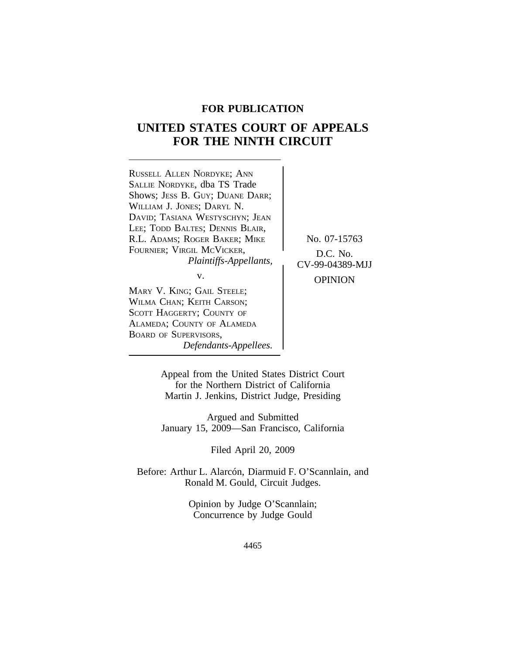# **FOR PUBLICATION**

# **UNITED STATES COURT OF APPEALS FOR THE NINTH CIRCUIT**

| RUSSELL ALLEN NORDYKE; ANN      |                 |
|---------------------------------|-----------------|
| SALLIE NORDYKE, dba TS Trade    |                 |
| Shows; JESS B. GUY; DUANE DARR; |                 |
| WILLIAM J. JONES; DARYL N.      |                 |
| DAVID; TASIANA WESTYSCHYN; JEAN |                 |
| LEE; TODD BALTES; DENNIS BLAIR, |                 |
| R.L. ADAMS; ROGER BAKER; MIKE   | No. 07-15763    |
| FOURNIER; VIRGIL MCVICKER,      | D.C. No.        |
| Plaintiffs-Appellants,          | CV-99-04389-MJJ |
| v.                              |                 |
|                                 | <b>OPINION</b>  |
| MARY V. KING; GAIL STEELE;      |                 |
| WILMA CHAN; KEITH CARSON;       |                 |
| SCOTT HAGGERTY; COUNTY OF       |                 |
| ALAMEDA; COUNTY OF ALAMEDA      |                 |
| <b>BOARD OF SUPERVISORS,</b>    |                 |

*Defendants-Appellees.*

Appeal from the United States District Court for the Northern District of California Martin J. Jenkins, District Judge, Presiding

Argued and Submitted January 15, 2009—San Francisco, California

Filed April 20, 2009

Before: Arthur L. Alarcón, Diarmuid F. O'Scannlain, and Ronald M. Gould, Circuit Judges.

> Opinion by Judge O'Scannlain; Concurrence by Judge Gould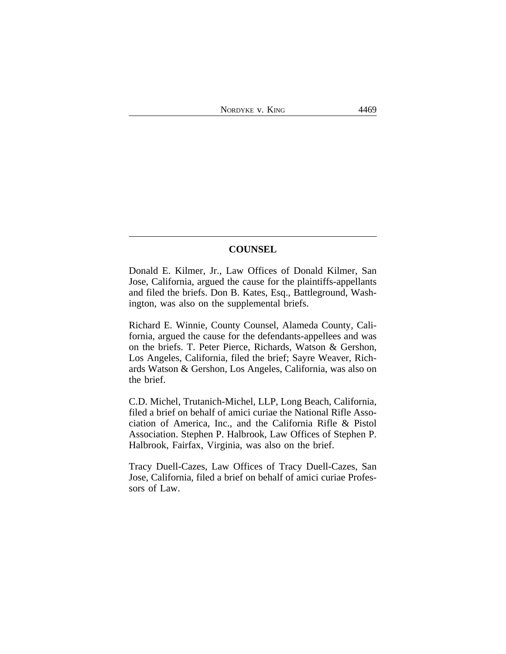## **COUNSEL**

Donald E. Kilmer, Jr., Law Offices of Donald Kilmer, San Jose, California, argued the cause for the plaintiffs-appellants and filed the briefs. Don B. Kates, Esq., Battleground, Washington, was also on the supplemental briefs.

Richard E. Winnie, County Counsel, Alameda County, California, argued the cause for the defendants-appellees and was on the briefs. T. Peter Pierce, Richards, Watson & Gershon, Los Angeles, California, filed the brief; Sayre Weaver, Richards Watson & Gershon, Los Angeles, California, was also on the brief.

C.D. Michel, Trutanich-Michel, LLP, Long Beach, California, filed a brief on behalf of amici curiae the National Rifle Association of America, Inc., and the California Rifle & Pistol Association. Stephen P. Halbrook, Law Offices of Stephen P. Halbrook, Fairfax, Virginia, was also on the brief.

Tracy Duell-Cazes, Law Offices of Tracy Duell-Cazes, San Jose, California, filed a brief on behalf of amici curiae Professors of Law.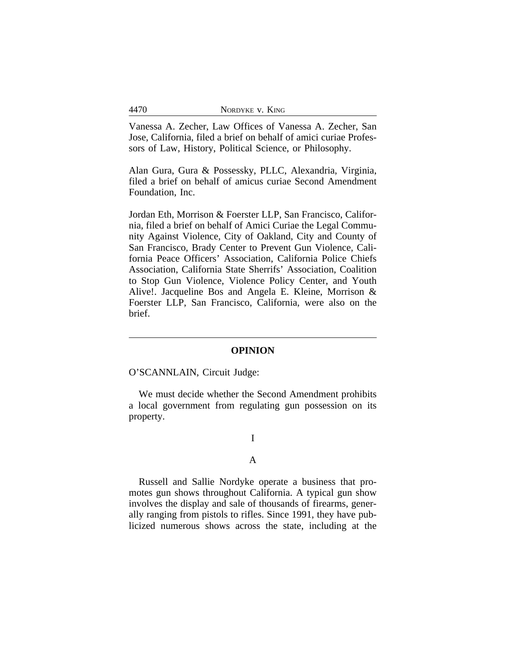|  | 4470 | NORDYKE V. KING |
|--|------|-----------------|
|--|------|-----------------|

Vanessa A. Zecher, Law Offices of Vanessa A. Zecher, San Jose, California, filed a brief on behalf of amici curiae Professors of Law, History, Political Science, or Philosophy.

Alan Gura, Gura & Possessky, PLLC, Alexandria, Virginia, filed a brief on behalf of amicus curiae Second Amendment Foundation, Inc.

Jordan Eth, Morrison & Foerster LLP, San Francisco, California, filed a brief on behalf of Amici Curiae the Legal Community Against Violence, City of Oakland, City and County of San Francisco, Brady Center to Prevent Gun Violence, California Peace Officers' Association, California Police Chiefs Association, California State Sherrifs' Association, Coalition to Stop Gun Violence, Violence Policy Center, and Youth Alive!. Jacqueline Bos and Angela E. Kleine, Morrison & Foerster LLP, San Francisco, California, were also on the brief.

## **OPINION**

O'SCANNLAIN, Circuit Judge:

We must decide whether the Second Amendment prohibits a local government from regulating gun possession on its property.

# I

### A

Russell and Sallie Nordyke operate a business that promotes gun shows throughout California. A typical gun show involves the display and sale of thousands of firearms, generally ranging from pistols to rifles. Since 1991, they have publicized numerous shows across the state, including at the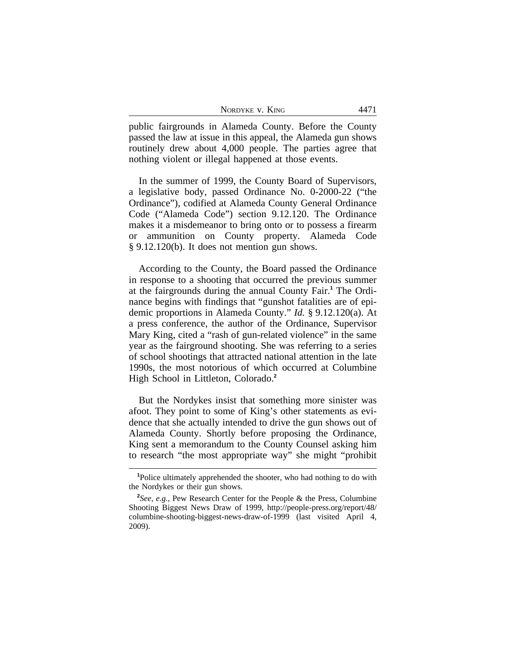| NORDYKE V. KING |  |
|-----------------|--|
|-----------------|--|

public fairgrounds in Alameda County. Before the County passed the law at issue in this appeal, the Alameda gun shows routinely drew about 4,000 people. The parties agree that nothing violent or illegal happened at those events.

In the summer of 1999, the County Board of Supervisors, a legislative body, passed Ordinance No. 0-2000-22 ("the Ordinance"), codified at Alameda County General Ordinance Code ("Alameda Code") section 9.12.120. The Ordinance makes it a misdemeanor to bring onto or to possess a firearm or ammunition on County property. Alameda Code § 9.12.120(b). It does not mention gun shows.

According to the County, the Board passed the Ordinance in response to a shooting that occurred the previous summer at the fairgrounds during the annual County Fair.**<sup>1</sup>** The Ordinance begins with findings that "gunshot fatalities are of epidemic proportions in Alameda County." *Id.* § 9.12.120(a). At a press conference, the author of the Ordinance, Supervisor Mary King, cited a "rash of gun-related violence" in the same year as the fairground shooting. She was referring to a series of school shootings that attracted national attention in the late 1990s, the most notorious of which occurred at Columbine High School in Littleton, Colorado.**<sup>2</sup>**

But the Nordykes insist that something more sinister was afoot. They point to some of King's other statements as evidence that she actually intended to drive the gun shows out of Alameda County. Shortly before proposing the Ordinance, King sent a memorandum to the County Counsel asking him to research "the most appropriate way" she might "prohibit

**<sup>1</sup>**Police ultimately apprehended the shooter, who had nothing to do with the Nordykes or their gun shows.

**<sup>2</sup>** *See, e.g.*, Pew Research Center for the People & the Press, Columbine Shooting Biggest News Draw of 1999, http://people-press.org/report/48/ columbine-shooting-biggest-news-draw-of-1999 (last visited April 4, 2009).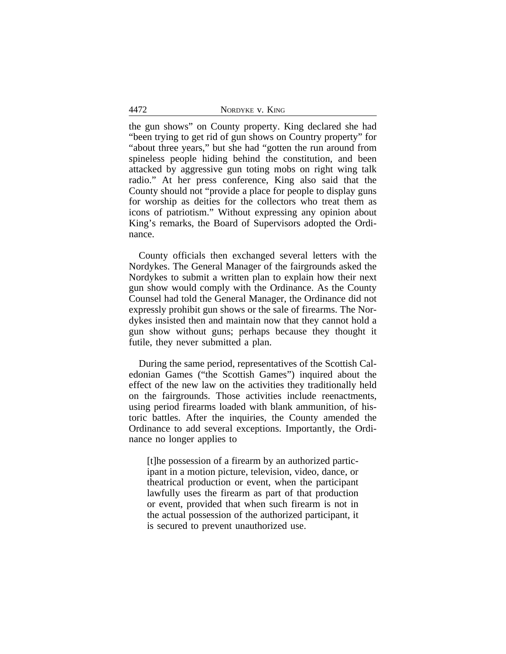| NORDYKE V. KING |  |
|-----------------|--|
|                 |  |

the gun shows" on County property. King declared she had "been trying to get rid of gun shows on Country property" for "about three years," but she had "gotten the run around from spineless people hiding behind the constitution, and been attacked by aggressive gun toting mobs on right wing talk radio." At her press conference, King also said that the County should not "provide a place for people to display guns for worship as deities for the collectors who treat them as icons of patriotism." Without expressing any opinion about King's remarks, the Board of Supervisors adopted the Ordinance.

County officials then exchanged several letters with the Nordykes. The General Manager of the fairgrounds asked the Nordykes to submit a written plan to explain how their next gun show would comply with the Ordinance. As the County Counsel had told the General Manager, the Ordinance did not expressly prohibit gun shows or the sale of firearms. The Nordykes insisted then and maintain now that they cannot hold a gun show without guns; perhaps because they thought it futile, they never submitted a plan.

During the same period, representatives of the Scottish Caledonian Games ("the Scottish Games") inquired about the effect of the new law on the activities they traditionally held on the fairgrounds. Those activities include reenactments, using period firearms loaded with blank ammunition, of historic battles. After the inquiries, the County amended the Ordinance to add several exceptions. Importantly, the Ordinance no longer applies to

[t]he possession of a firearm by an authorized participant in a motion picture, television, video, dance, or theatrical production or event, when the participant lawfully uses the firearm as part of that production or event, provided that when such firearm is not in the actual possession of the authorized participant, it is secured to prevent unauthorized use.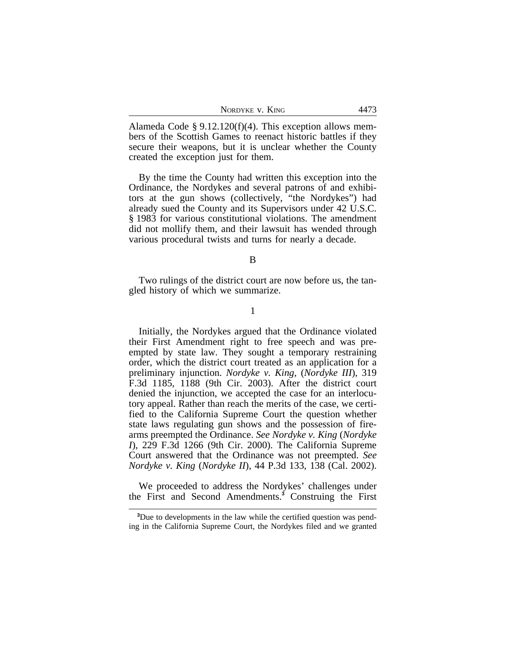| NORDYKE V. KING |  | л |
|-----------------|--|---|
|-----------------|--|---|

Alameda Code § 9.12.120(f)(4). This exception allows members of the Scottish Games to reenact historic battles if they secure their weapons, but it is unclear whether the County created the exception just for them.

By the time the County had written this exception into the Ordinance, the Nordykes and several patrons of and exhibitors at the gun shows (collectively, "the Nordykes") had already sued the County and its Supervisors under 42 U.S.C. § 1983 for various constitutional violations. The amendment did not mollify them, and their lawsuit has wended through various procedural twists and turns for nearly a decade.

B

Two rulings of the district court are now before us, the tangled history of which we summarize.

1

Initially, the Nordykes argued that the Ordinance violated their First Amendment right to free speech and was preempted by state law. They sought a temporary restraining order, which the district court treated as an application for a preliminary injunction. *Nordyke v. King*, (*Nordyke III*), 319 F.3d 1185, 1188 (9th Cir. 2003). After the district court denied the injunction, we accepted the case for an interlocutory appeal. Rather than reach the merits of the case, we certified to the California Supreme Court the question whether state laws regulating gun shows and the possession of firearms preempted the Ordinance. *See Nordyke v. King* (*Nordyke I*), 229 F.3d 1266 (9th Cir. 2000). The California Supreme Court answered that the Ordinance was not preempted. *See Nordyke v. King* (*Nordyke II*), 44 P.3d 133, 138 (Cal. 2002).

We proceeded to address the Nordykes' challenges under the First and Second Amendments.**<sup>3</sup>** Construing the First

**<sup>3</sup>**Due to developments in the law while the certified question was pending in the California Supreme Court, the Nordykes filed and we granted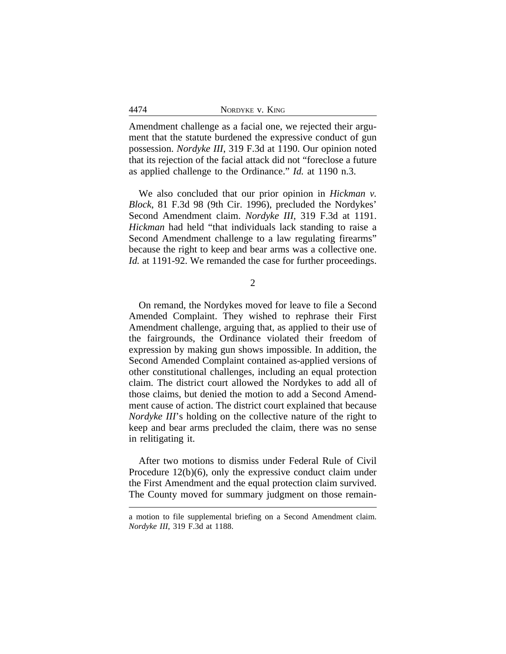| 4474 | NORDYKE V. KING |
|------|-----------------|
|      |                 |

Amendment challenge as a facial one, we rejected their argument that the statute burdened the expressive conduct of gun possession. *Nordyke III*, 319 F.3d at 1190. Our opinion noted that its rejection of the facial attack did not "foreclose a future as applied challenge to the Ordinance." *Id.* at 1190 n.3.

We also concluded that our prior opinion in *Hickman v. Block*, 81 F.3d 98 (9th Cir. 1996), precluded the Nordykes' Second Amendment claim. *Nordyke III*, 319 F.3d at 1191. *Hickman* had held "that individuals lack standing to raise a Second Amendment challenge to a law regulating firearms" because the right to keep and bear arms was a collective one. *Id.* at 1191-92. We remanded the case for further proceedings.

2

On remand, the Nordykes moved for leave to file a Second Amended Complaint. They wished to rephrase their First Amendment challenge, arguing that, as applied to their use of the fairgrounds, the Ordinance violated their freedom of expression by making gun shows impossible. In addition, the Second Amended Complaint contained as-applied versions of other constitutional challenges, including an equal protection claim. The district court allowed the Nordykes to add all of those claims, but denied the motion to add a Second Amendment cause of action. The district court explained that because *Nordyke III*'s holding on the collective nature of the right to keep and bear arms precluded the claim, there was no sense in relitigating it.

After two motions to dismiss under Federal Rule of Civil Procedure 12(b)(6), only the expressive conduct claim under the First Amendment and the equal protection claim survived. The County moved for summary judgment on those remain-

a motion to file supplemental briefing on a Second Amendment claim. *Nordyke III*, 319 F.3d at 1188.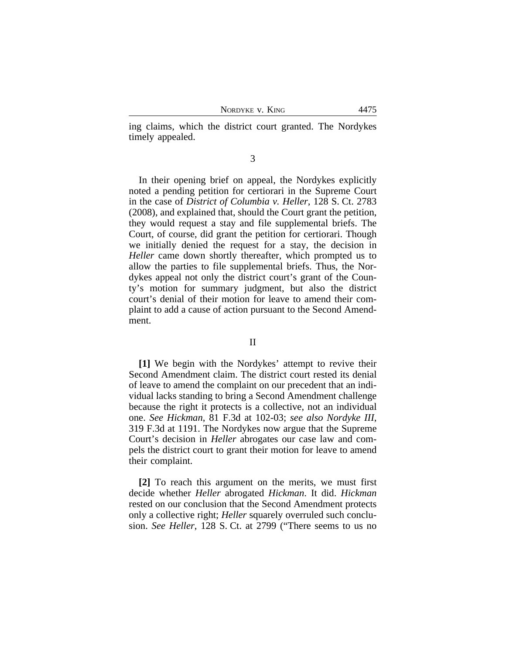NORDYKE V. KING 4475

ing claims, which the district court granted. The Nordykes timely appealed.

3

In their opening brief on appeal, the Nordykes explicitly noted a pending petition for certiorari in the Supreme Court in the case of *District of Columbia v. Heller*, 128 S. Ct. 2783 (2008), and explained that, should the Court grant the petition, they would request a stay and file supplemental briefs. The Court, of course, did grant the petition for certiorari. Though we initially denied the request for a stay, the decision in *Heller* came down shortly thereafter, which prompted us to allow the parties to file supplemental briefs. Thus, the Nordykes appeal not only the district court's grant of the County's motion for summary judgment, but also the district court's denial of their motion for leave to amend their complaint to add a cause of action pursuant to the Second Amendment.

#### II

**[1]** We begin with the Nordykes' attempt to revive their Second Amendment claim. The district court rested its denial of leave to amend the complaint on our precedent that an individual lacks standing to bring a Second Amendment challenge because the right it protects is a collective, not an individual one. *See Hickman*, 81 F.3d at 102-03; *see also Nordyke III*, 319 F.3d at 1191. The Nordykes now argue that the Supreme Court's decision in *Heller* abrogates our case law and compels the district court to grant their motion for leave to amend their complaint.

**[2]** To reach this argument on the merits, we must first decide whether *Heller* abrogated *Hickman*. It did. *Hickman* rested on our conclusion that the Second Amendment protects only a collective right; *Heller* squarely overruled such conclusion. *See Heller*, 128 S. Ct. at 2799 ("There seems to us no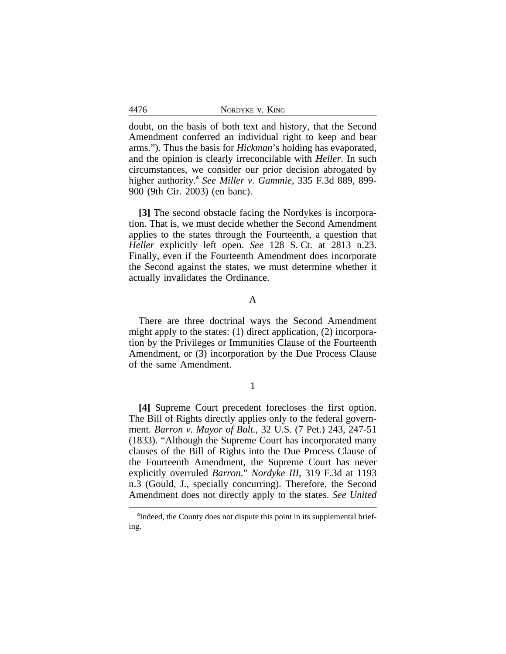| NORDYKE V. KING |
|-----------------|
|-----------------|

doubt, on the basis of both text and history, that the Second Amendment conferred an individual right to keep and bear arms."). Thus the basis for *Hickman*'s holding has evaporated, and the opinion is clearly irreconcilable with *Heller*. In such circumstances, we consider our prior decision abrogated by higher authority.**<sup>4</sup>** *See Miller v. Gammie*, 335 F.3d 889, 899- 900 (9th Cir. 2003) (en banc).

**[3]** The second obstacle facing the Nordykes is incorporation. That is, we must decide whether the Second Amendment applies to the states through the Fourteenth, a question that *Heller* explicitly left open. *See* 128 S. Ct. at 2813 n.23. Finally, even if the Fourteenth Amendment does incorporate the Second against the states, we must determine whether it actually invalidates the Ordinance.

## A

There are three doctrinal ways the Second Amendment might apply to the states: (1) direct application, (2) incorporation by the Privileges or Immunities Clause of the Fourteenth Amendment, or (3) incorporation by the Due Process Clause of the same Amendment.

## 1

**[4]** Supreme Court precedent forecloses the first option. The Bill of Rights directly applies only to the federal government. *Barron v. Mayor of Balt.*, 32 U.S. (7 Pet.) 243, 247-51 (1833). "Although the Supreme Court has incorporated many clauses of the Bill of Rights into the Due Process Clause of the Fourteenth Amendment, the Supreme Court has never explicitly overruled *Barron*." *Nordyke III*, 319 F.3d at 1193 n.3 (Gould, J., specially concurring). Therefore*,* the Second Amendment does not directly apply to the states. *See United*

4476

<sup>&</sup>lt;sup>4</sup>Indeed, the County does not dispute this point in its supplemental briefing.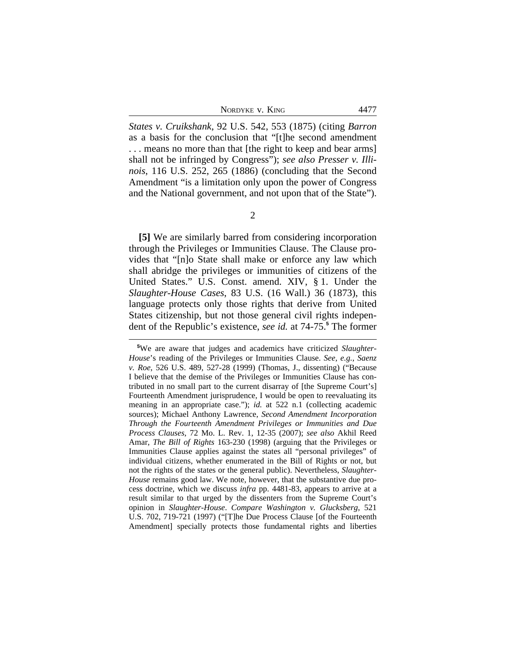*States v. Cruikshank*, 92 U.S. 542, 553 (1875) (citing *Barron* as a basis for the conclusion that "[t]he second amendment . . . means no more than that [the right to keep and bear arms] shall not be infringed by Congress"); *see also Presser v. Illinois*, 116 U.S. 252, 265 (1886) (concluding that the Second Amendment "is a limitation only upon the power of Congress and the National government, and not upon that of the State").

**[5]** We are similarly barred from considering incorporation through the Privileges or Immunities Clause. The Clause provides that "[n]o State shall make or enforce any law which shall abridge the privileges or immunities of citizens of the United States." U.S. Const. amend. XIV, § 1. Under the *Slaughter-House Cases*, 83 U.S. (16 Wall.) 36 (1873), this language protects only those rights that derive from United States citizenship, but not those general civil rights independent of the Republic's existence, *see id.* at 74-75.**<sup>5</sup>** The former

<sup>2</sup>

**<sup>5</sup>**We are aware that judges and academics have criticized *Slaughter-House*'s reading of the Privileges or Immunities Clause. *See, e.g.*, *Saenz v. Roe*, 526 U.S. 489, 527-28 (1999) (Thomas, J., dissenting) ("Because I believe that the demise of the Privileges or Immunities Clause has contributed in no small part to the current disarray of [the Supreme Court's] Fourteenth Amendment jurisprudence, I would be open to reevaluating its meaning in an appropriate case."); *id.* at 522 n.1 (collecting academic sources); Michael Anthony Lawrence, *Second Amendment Incorporation Through the Fourteenth Amendment Privileges or Immunities and Due Process Clauses*, 72 Mo. L. Rev. 1, 12-35 (2007); *see also* Akhil Reed Amar, *The Bill of Rights* 163-230 (1998) (arguing that the Privileges or Immunities Clause applies against the states all "personal privileges" of individual citizens, whether enumerated in the Bill of Rights or not, but not the rights of the states or the general public). Nevertheless, *Slaughter-House* remains good law. We note, however, that the substantive due process doctrine, which we discuss *infra* pp. 4481-83, appears to arrive at a result similar to that urged by the dissenters from the Supreme Court's opinion in *Slaughter-House*. *Compare Washington v. Glucksberg*, 521 U.S. 702, 719-721 (1997) ("[T]he Due Process Clause [of the Fourteenth Amendment] specially protects those fundamental rights and liberties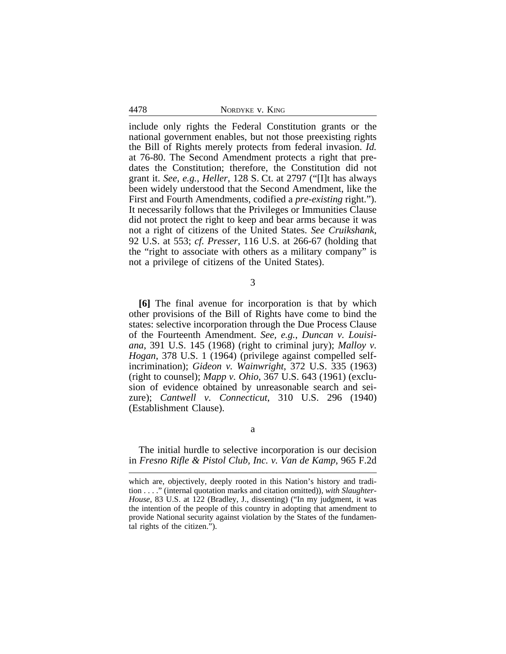4478 NORDYKE v. KING

include only rights the Federal Constitution grants or the national government enables, but not those preexisting rights the Bill of Rights merely protects from federal invasion. *Id.* at 76-80. The Second Amendment protects a right that predates the Constitution; therefore, the Constitution did not grant it. *See, e.g.*, *Heller*, 128 S. Ct. at 2797 ("[I]t has always been widely understood that the Second Amendment, like the First and Fourth Amendments, codified a *pre-existing* right."). It necessarily follows that the Privileges or Immunities Clause did not protect the right to keep and bear arms because it was not a right of citizens of the United States. *See Cruikshank*, 92 U.S. at 553; *cf. Presser*, 116 U.S. at 266-67 (holding that the "right to associate with others as a military company" is not a privilege of citizens of the United States).

3

**[6]** The final avenue for incorporation is that by which other provisions of the Bill of Rights have come to bind the states: selective incorporation through the Due Process Clause of the Fourteenth Amendment. *See, e.g.*, *Duncan v. Louisiana*, 391 U.S. 145 (1968) (right to criminal jury); *Malloy v. Hogan*, 378 U.S. 1 (1964) (privilege against compelled selfincrimination); *Gideon v. Wainwright*, 372 U.S. 335 (1963) (right to counsel); *Mapp v. Ohio*, 367 U.S. 643 (1961) (exclusion of evidence obtained by unreasonable search and seizure); *Cantwell v. Connecticut*, 310 U.S. 296 (1940) (Establishment Clause).

a

The initial hurdle to selective incorporation is our decision in *Fresno Rifle & Pistol Club, Inc. v. Van de Kamp*, 965 F.2d

which are, objectively, deeply rooted in this Nation's history and tradition . . . ." (internal quotation marks and citation omitted)), *with Slaughter-House*, 83 U.S. at 122 (Bradley, J., dissenting) ("In my judgment, it was the intention of the people of this country in adopting that amendment to provide National security against violation by the States of the fundamental rights of the citizen.").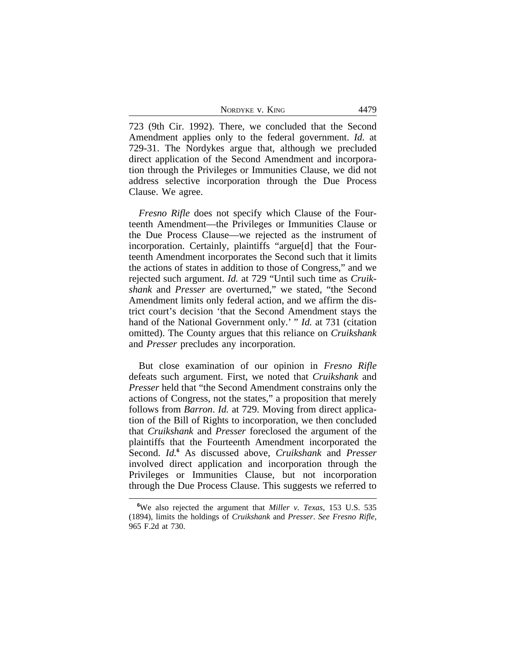| NORDYKE V. KING |  |  |
|-----------------|--|--|
|                 |  |  |

723 (9th Cir. 1992). There, we concluded that the Second Amendment applies only to the federal government. *Id.* at 729-31. The Nordykes argue that, although we precluded direct application of the Second Amendment and incorporation through the Privileges or Immunities Clause, we did not address selective incorporation through the Due Process Clause. We agree.

*Fresno Rifle* does not specify which Clause of the Fourteenth Amendment—the Privileges or Immunities Clause or the Due Process Clause—we rejected as the instrument of incorporation. Certainly, plaintiffs "argue[d] that the Fourteenth Amendment incorporates the Second such that it limits the actions of states in addition to those of Congress," and we rejected such argument. *Id.* at 729 "Until such time as *Cruikshank* and *Presser* are overturned," we stated, "the Second Amendment limits only federal action, and we affirm the district court's decision 'that the Second Amendment stays the hand of the National Government only.' " *Id.* at 731 (citation omitted). The County argues that this reliance on *Cruikshank* and *Presser* precludes any incorporation.

But close examination of our opinion in *Fresno Rifle* defeats such argument. First, we noted that *Cruikshank* and *Presser* held that "the Second Amendment constrains only the actions of Congress, not the states," a proposition that merely follows from *Barron*. *Id.* at 729. Moving from direct application of the Bill of Rights to incorporation, we then concluded that *Cruikshank* and *Presser* foreclosed the argument of the plaintiffs that the Fourteenth Amendment incorporated the Second. *Id.***<sup>6</sup>** As discussed above, *Cruikshank* and *Presser* involved direct application and incorporation through the Privileges or Immunities Clause, but not incorporation through the Due Process Clause. This suggests we referred to

**<sup>6</sup>**We also rejected the argument that *Miller v. Texas*, 153 U.S. 535 (1894), limits the holdings of *Cruikshank* and *Presser*. *See Fresno Rifle*, 965 F.2d at 730.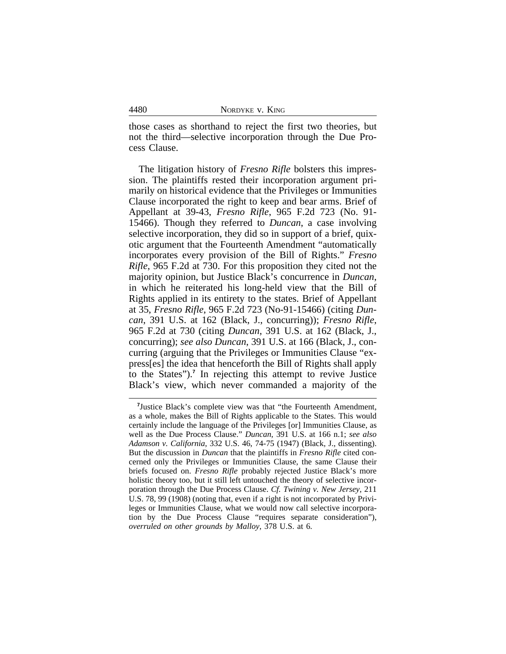| NORDYKE V. KING |  |  |
|-----------------|--|--|
|-----------------|--|--|

4480

those cases as shorthand to reject the first two theories, but not the third—selective incorporation through the Due Process Clause.

The litigation history of *Fresno Rifle* bolsters this impression. The plaintiffs rested their incorporation argument primarily on historical evidence that the Privileges or Immunities Clause incorporated the right to keep and bear arms. Brief of Appellant at 39-43, *Fresno Rifle*, 965 F.2d 723 (No. 91- 15466). Though they referred to *Duncan*, a case involving selective incorporation, they did so in support of a brief, quixotic argument that the Fourteenth Amendment "automatically incorporates every provision of the Bill of Rights." *Fresno Rifle*, 965 F.2d at 730. For this proposition they cited not the majority opinion, but Justice Black's concurrence in *Duncan*, in which he reiterated his long-held view that the Bill of Rights applied in its entirety to the states. Brief of Appellant at 35, *Fresno Rifle*, 965 F.2d 723 (No-91-15466) (citing *Duncan*, 391 U.S. at 162 (Black, J., concurring)); *Fresno Rifle*, 965 F.2d at 730 (citing *Duncan*, 391 U.S. at 162 (Black, J., concurring); *see also Duncan*, 391 U.S. at 166 (Black, J., concurring (arguing that the Privileges or Immunities Clause "express[es] the idea that henceforth the Bill of Rights shall apply to the States").**<sup>7</sup>** In rejecting this attempt to revive Justice Black's view, which never commanded a majority of the

<sup>&</sup>lt;sup>7</sup>Justice Black's complete view was that "the Fourteenth Amendment, as a whole, makes the Bill of Rights applicable to the States. This would certainly include the language of the Privileges [or] Immunities Clause, as well as the Due Process Clause." *Duncan*, 391 U.S. at 166 n.1; *see also Adamson v. California*, 332 U.S. 46, 74-75 (1947) (Black, J., dissenting). But the discussion in *Duncan* that the plaintiffs in *Fresno Rifle* cited concerned only the Privileges or Immunities Clause, the same Clause their briefs focused on. *Fresno Rifle* probably rejected Justice Black's more holistic theory too, but it still left untouched the theory of selective incorporation through the Due Process Clause. *Cf. Twining v. New Jersey*, 211 U.S. 78, 99 (1908) (noting that, even if a right is not incorporated by Privileges or Immunities Clause, what we would now call selective incorporation by the Due Process Clause "requires separate consideration"), *overruled on other grounds by Malloy*, 378 U.S. at 6.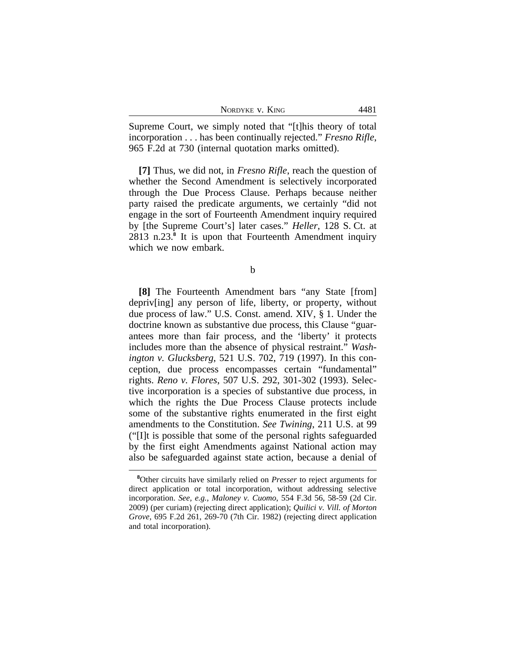| NORDYKE V. KING |  | 4481 |
|-----------------|--|------|
|-----------------|--|------|

Supreme Court, we simply noted that "[t]his theory of total incorporation . . . has been continually rejected." *Fresno Rifle*, 965 F.2d at 730 (internal quotation marks omitted).

**[7]** Thus, we did not, in *Fresno Rifle*, reach the question of whether the Second Amendment is selectively incorporated through the Due Process Clause. Perhaps because neither party raised the predicate arguments, we certainly "did not engage in the sort of Fourteenth Amendment inquiry required by [the Supreme Court's] later cases." *Heller*, 128 S. Ct. at 2813 n.23.**<sup>8</sup>** It is upon that Fourteenth Amendment inquiry which we now embark.

b

**[8]** The Fourteenth Amendment bars "any State [from] depriv[ing] any person of life, liberty, or property, without due process of law." U.S. Const. amend. XIV, § 1. Under the doctrine known as substantive due process, this Clause "guarantees more than fair process, and the 'liberty' it protects includes more than the absence of physical restraint." *Washington v. Glucksberg*, 521 U.S. 702, 719 (1997). In this conception, due process encompasses certain "fundamental" rights. *Reno v. Flores*, 507 U.S. 292, 301-302 (1993). Selective incorporation is a species of substantive due process, in which the rights the Due Process Clause protects include some of the substantive rights enumerated in the first eight amendments to the Constitution. *See Twining*, 211 U.S. at 99 ("[I]t is possible that some of the personal rights safeguarded by the first eight Amendments against National action may also be safeguarded against state action, because a denial of

**<sup>8</sup>**Other circuits have similarly relied on *Presser* to reject arguments for direct application or total incorporation, without addressing selective incorporation. *See, e.g.*, *Maloney v. Cuomo*, 554 F.3d 56, 58-59 (2d Cir. 2009) (per curiam) (rejecting direct application); *Quilici v. Vill. of Morton Grove*, 695 F.2d 261, 269-70 (7th Cir. 1982) (rejecting direct application and total incorporation).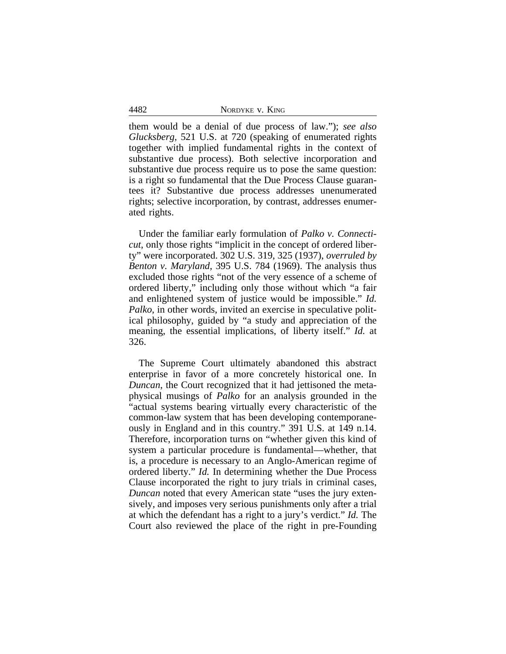4482 NORDYKE v. KING

them would be a denial of due process of law."); *see also Glucksberg*, 521 U.S. at 720 (speaking of enumerated rights together with implied fundamental rights in the context of substantive due process). Both selective incorporation and substantive due process require us to pose the same question: is a right so fundamental that the Due Process Clause guarantees it? Substantive due process addresses unenumerated rights; selective incorporation, by contrast, addresses enumerated rights.

Under the familiar early formulation of *Palko v. Connecticut*, only those rights "implicit in the concept of ordered liberty" were incorporated. 302 U.S. 319, 325 (1937), *overruled by Benton v. Maryland*, 395 U.S. 784 (1969). The analysis thus excluded those rights "not of the very essence of a scheme of ordered liberty," including only those without which "a fair and enlightened system of justice would be impossible." *Id. Palko*, in other words, invited an exercise in speculative political philosophy, guided by "a study and appreciation of the meaning, the essential implications, of liberty itself." *Id.* at 326.

The Supreme Court ultimately abandoned this abstract enterprise in favor of a more concretely historical one. In *Duncan*, the Court recognized that it had jettisoned the metaphysical musings of *Palko* for an analysis grounded in the "actual systems bearing virtually every characteristic of the common-law system that has been developing contemporaneously in England and in this country." 391 U.S. at 149 n.14. Therefore, incorporation turns on "whether given this kind of system a particular procedure is fundamental—whether, that is, a procedure is necessary to an Anglo-American regime of ordered liberty." *Id.* In determining whether the Due Process Clause incorporated the right to jury trials in criminal cases, *Duncan* noted that every American state "uses the jury extensively, and imposes very serious punishments only after a trial at which the defendant has a right to a jury's verdict." *Id.* The Court also reviewed the place of the right in pre-Founding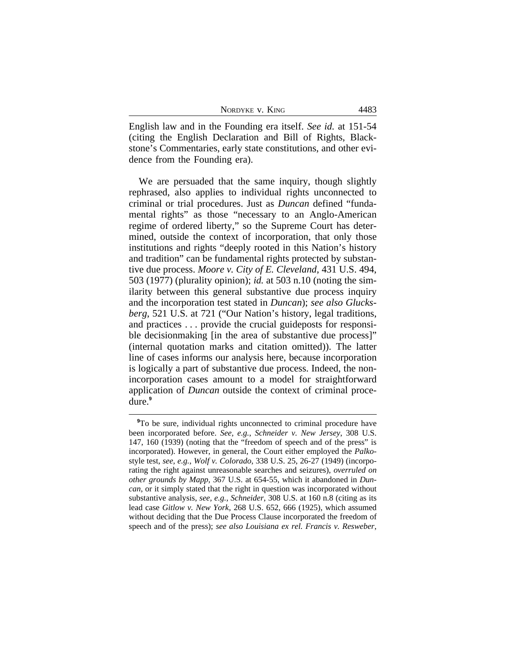| NORDYKE V. KING |  |  |  |
|-----------------|--|--|--|
|-----------------|--|--|--|

English law and in the Founding era itself. *See id.* at 151-54 (citing the English Declaration and Bill of Rights, Blackstone's Commentaries, early state constitutions, and other evidence from the Founding era).

We are persuaded that the same inquiry, though slightly rephrased, also applies to individual rights unconnected to criminal or trial procedures. Just as *Duncan* defined "fundamental rights" as those "necessary to an Anglo-American regime of ordered liberty," so the Supreme Court has determined, outside the context of incorporation, that only those institutions and rights "deeply rooted in this Nation's history and tradition" can be fundamental rights protected by substantive due process. *Moore v. City of E. Cleveland*, 431 U.S. 494, 503 (1977) (plurality opinion); *id.* at 503 n.10 (noting the similarity between this general substantive due process inquiry and the incorporation test stated in *Duncan*); *see also Glucksberg*, 521 U.S. at 721 ("Our Nation's history, legal traditions, and practices . . . provide the crucial guideposts for responsible decisionmaking [in the area of substantive due process]" (internal quotation marks and citation omitted)). The latter line of cases informs our analysis here, because incorporation is logically a part of substantive due process. Indeed, the nonincorporation cases amount to a model for straightforward application of *Duncan* outside the context of criminal procedure.**<sup>9</sup>**

**<sup>9</sup>**To be sure, individual rights unconnected to criminal procedure have been incorporated before. *See, e.g.*, *Schneider v. New Jersey*, 308 U.S. 147, 160 (1939) (noting that the "freedom of speech and of the press" is incorporated). However, in general, the Court either employed the *Palko*style test, *see, e.g.*, *Wolf v. Colorado*, 338 U.S. 25, 26-27 (1949) (incorporating the right against unreasonable searches and seizures), *overruled on other grounds by Mapp*, 367 U.S. at 654-55, which it abandoned in *Duncan*, or it simply stated that the right in question was incorporated without substantive analysis, *see, e.g.*, *Schneider*, 308 U.S. at 160 n.8 (citing as its lead case *Gitlow v. New York*, 268 U.S. 652, 666 (1925), which assumed without deciding that the Due Process Clause incorporated the freedom of speech and of the press); *see also Louisiana ex rel. Francis v. Resweber*,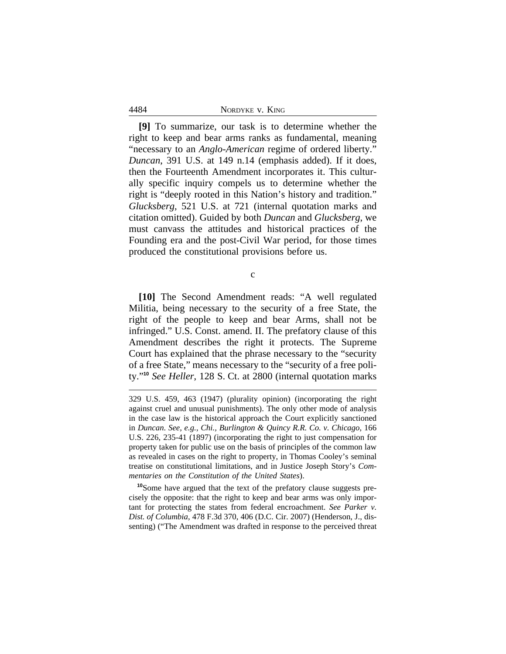| NORDYKE V. KING |  |  |
|-----------------|--|--|
|-----------------|--|--|

4484

**[9]** To summarize, our task is to determine whether the right to keep and bear arms ranks as fundamental, meaning "necessary to an *Anglo-American* regime of ordered liberty." *Duncan*, 391 U.S. at 149 n.14 (emphasis added). If it does, then the Fourteenth Amendment incorporates it. This culturally specific inquiry compels us to determine whether the right is "deeply rooted in this Nation's history and tradition." *Glucksberg*, 521 U.S. at 721 (internal quotation marks and citation omitted). Guided by both *Duncan* and *Glucksberg*, we must canvass the attitudes and historical practices of the Founding era and the post-Civil War period, for those times produced the constitutional provisions before us.

c

**[10]** The Second Amendment reads: "A well regulated Militia, being necessary to the security of a free State, the right of the people to keep and bear Arms, shall not be infringed." U.S. Const. amend. II. The prefatory clause of this Amendment describes the right it protects. The Supreme Court has explained that the phrase necessary to the "security of a free State," means necessary to the "security of a free polity."**<sup>10</sup>** *See Heller*, 128 S. Ct. at 2800 (internal quotation marks

**<sup>10</sup>**Some have argued that the text of the prefatory clause suggests precisely the opposite: that the right to keep and bear arms was only important for protecting the states from federal encroachment. *See Parker v. Dist. of Columbia*, 478 F.3d 370, 406 (D.C. Cir. 2007) (Henderson, J., dissenting) ("The Amendment was drafted in response to the perceived threat

<sup>329</sup> U.S. 459, 463 (1947) (plurality opinion) (incorporating the right against cruel and unusual punishments). The only other mode of analysis in the case law is the historical approach the Court explicitly sanctioned in *Duncan*. *See, e.g.*, *Chi., Burlington & Quincy R.R. Co. v. Chicago*, 166 U.S. 226, 235-41 (1897) (incorporating the right to just compensation for property taken for public use on the basis of principles of the common law as revealed in cases on the right to property, in Thomas Cooley's seminal treatise on constitutional limitations, and in Justice Joseph Story's *Commentaries on the Constitution of the United States*).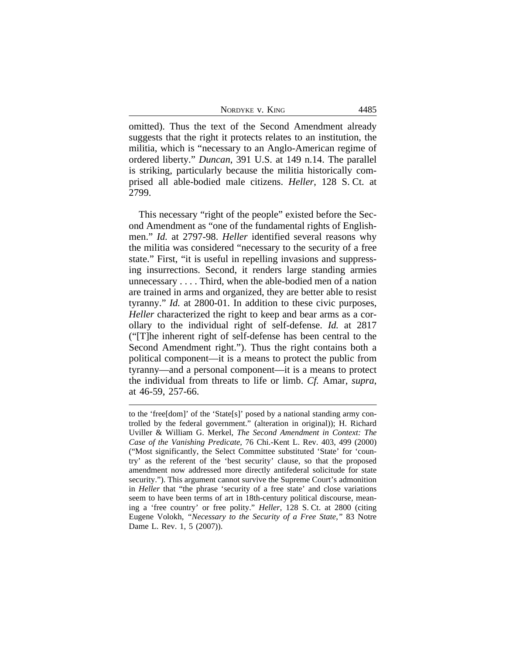NORDYKE V. KING 4485

omitted). Thus the text of the Second Amendment already suggests that the right it protects relates to an institution, the militia, which is "necessary to an Anglo-American regime of ordered liberty." *Duncan*, 391 U.S. at 149 n.14. The parallel is striking, particularly because the militia historically comprised all able-bodied male citizens. *Heller*, 128 S. Ct. at 2799.

This necessary "right of the people" existed before the Second Amendment as "one of the fundamental rights of Englishmen." *Id.* at 2797-98. *Heller* identified several reasons why the militia was considered "necessary to the security of a free state." First, "it is useful in repelling invasions and suppressing insurrections. Second, it renders large standing armies unnecessary . . . . Third, when the able-bodied men of a nation are trained in arms and organized, they are better able to resist tyranny." *Id.* at 2800-01. In addition to these civic purposes, *Heller* characterized the right to keep and bear arms as a corollary to the individual right of self-defense. *Id.* at 2817 ("[T]he inherent right of self-defense has been central to the Second Amendment right."). Thus the right contains both a political component—it is a means to protect the public from tyranny—and a personal component—it is a means to protect the individual from threats to life or limb. *Cf.* Amar, *supra*, at 46-59, 257-66.

to the 'free[dom]' of the 'State[s]' posed by a national standing army controlled by the federal government." (alteration in original)); H. Richard Uviller & William G. Merkel, *The Second Amendment in Context: The Case of the Vanishing Predicate*, 76 Chi.-Kent L. Rev. 403, 499 (2000) ("Most significantly, the Select Committee substituted 'State' for 'country' as the referent of the 'best security' clause, so that the proposed amendment now addressed more directly antifederal solicitude for state security."). This argument cannot survive the Supreme Court's admonition in *Heller* that "the phrase 'security of a free state' and close variations seem to have been terms of art in 18th-century political discourse, meaning a 'free country' or free polity." *Heller*, 128 S. Ct. at 2800 (citing Eugene Volokh, *"Necessary to the Security of a Free State*,*"* 83 Notre Dame L. Rev. 1, 5 (2007)).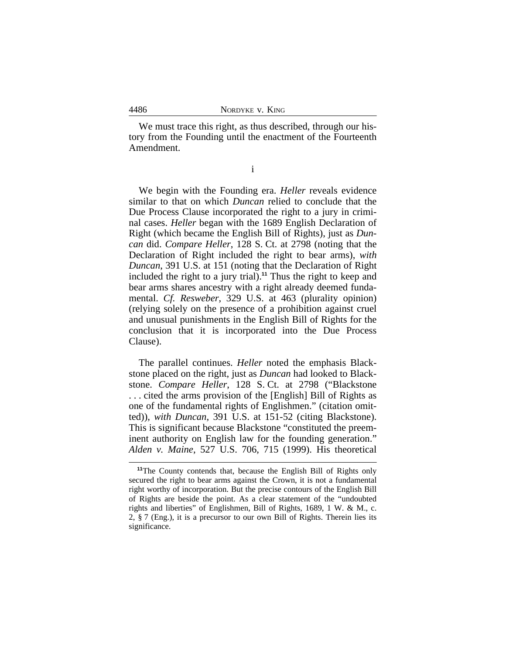We must trace this right, as thus described, through our history from the Founding until the enactment of the Fourteenth Amendment.

i

We begin with the Founding era. *Heller* reveals evidence similar to that on which *Duncan* relied to conclude that the Due Process Clause incorporated the right to a jury in criminal cases. *Heller* began with the 1689 English Declaration of Right (which became the English Bill of Rights), just as *Duncan* did. *Compare Heller*, 128 S. Ct. at 2798 (noting that the Declaration of Right included the right to bear arms), *with Duncan*, 391 U.S. at 151 (noting that the Declaration of Right included the right to a jury trial).**<sup>11</sup>** Thus the right to keep and bear arms shares ancestry with a right already deemed fundamental. *Cf. Resweber*, 329 U.S. at 463 (plurality opinion) (relying solely on the presence of a prohibition against cruel and unusual punishments in the English Bill of Rights for the conclusion that it is incorporated into the Due Process Clause).

The parallel continues. *Heller* noted the emphasis Blackstone placed on the right, just as *Duncan* had looked to Blackstone. *Compare Heller*, 128 S. Ct. at 2798 ("Blackstone . . . cited the arms provision of the [English] Bill of Rights as one of the fundamental rights of Englishmen." (citation omitted)), *with Duncan*, 391 U.S. at 151-52 (citing Blackstone). This is significant because Blackstone "constituted the preeminent authority on English law for the founding generation." *Alden v. Maine*, 527 U.S. 706, 715 (1999). His theoretical

<sup>&</sup>lt;sup>11</sup>The County contends that, because the English Bill of Rights only secured the right to bear arms against the Crown, it is not a fundamental right worthy of incorporation. But the precise contours of the English Bill of Rights are beside the point. As a clear statement of the "undoubted rights and liberties" of Englishmen, Bill of Rights, 1689, 1 W. & M., c. 2, § 7 (Eng.), it is a precursor to our own Bill of Rights. Therein lies its significance.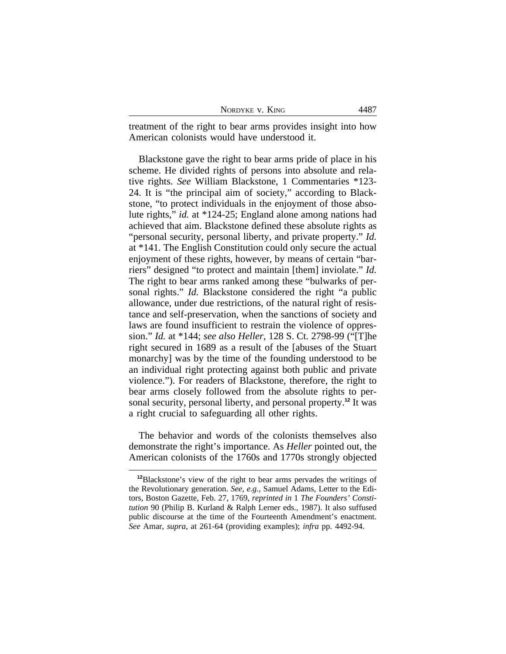| NORDYKE V. KING |  |
|-----------------|--|
|-----------------|--|

treatment of the right to bear arms provides insight into how American colonists would have understood it.

Blackstone gave the right to bear arms pride of place in his scheme. He divided rights of persons into absolute and relative rights. *See* William Blackstone, 1 Commentaries \*123- 24. It is "the principal aim of society," according to Blackstone, "to protect individuals in the enjoyment of those absolute rights," *id.* at \*124-25; England alone among nations had achieved that aim. Blackstone defined these absolute rights as "personal security, personal liberty, and private property." *Id.* at \*141. The English Constitution could only secure the actual enjoyment of these rights, however, by means of certain "barriers" designed "to protect and maintain [them] inviolate." *Id.* The right to bear arms ranked among these "bulwarks of personal rights." *Id.* Blackstone considered the right "a public allowance, under due restrictions, of the natural right of resistance and self-preservation, when the sanctions of society and laws are found insufficient to restrain the violence of oppression." *Id.* at \*144; *see also Heller*, 128 S. Ct. 2798-99 ("[T]he right secured in 1689 as a result of the [abuses of the Stuart monarchy] was by the time of the founding understood to be an individual right protecting against both public and private violence."). For readers of Blackstone, therefore, the right to bear arms closely followed from the absolute rights to personal security, personal liberty, and personal property.**<sup>12</sup>** It was a right crucial to safeguarding all other rights.

The behavior and words of the colonists themselves also demonstrate the right's importance. As *Heller* pointed out, the American colonists of the 1760s and 1770s strongly objected

**<sup>12</sup>**Blackstone's view of the right to bear arms pervades the writings of the Revolutionary generation. *See, e.g.*, Samuel Adams, Letter to the Editors, Boston Gazette, Feb. 27, 1769, *reprinted in* 1 *The Founders' Constitution* 90 (Philip B. Kurland & Ralph Lerner eds., 1987). It also suffused public discourse at the time of the Fourteenth Amendment's enactment. *See* Amar, *supra*, at 261-64 (providing examples); *infra* pp. 4492-94.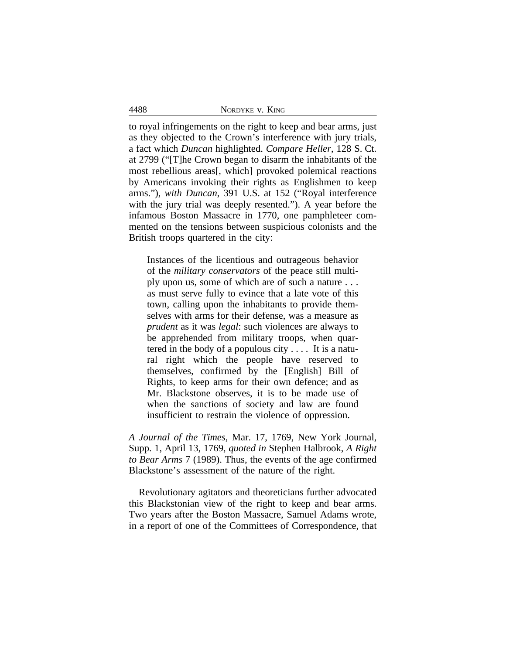|  | NORDYKE V. KING |  |  |
|--|-----------------|--|--|
|--|-----------------|--|--|

to royal infringements on the right to keep and bear arms, just as they objected to the Crown's interference with jury trials, a fact which *Duncan* highlighted. *Compare Heller*, 128 S. Ct. at 2799 ("[T]he Crown began to disarm the inhabitants of the most rebellious areas[, which] provoked polemical reactions by Americans invoking their rights as Englishmen to keep arms."), *with Duncan*, 391 U.S. at 152 ("Royal interference with the jury trial was deeply resented."). A year before the infamous Boston Massacre in 1770, one pamphleteer commented on the tensions between suspicious colonists and the British troops quartered in the city:

Instances of the licentious and outrageous behavior of the *military conservators* of the peace still multiply upon us, some of which are of such a nature . . . as must serve fully to evince that a late vote of this town, calling upon the inhabitants to provide themselves with arms for their defense, was a measure as *prudent* as it was *legal*: such violences are always to be apprehended from military troops, when quartered in the body of a populous city . . . . It is a natural right which the people have reserved to themselves, confirmed by the [English] Bill of Rights, to keep arms for their own defence; and as Mr. Blackstone observes, it is to be made use of when the sanctions of society and law are found insufficient to restrain the violence of oppression.

*A Journal of the Times*, Mar. 17, 1769, New York Journal, Supp. 1, April 13, 1769, *quoted in* Stephen Halbrook, *A Right to Bear Arms* 7 (1989). Thus, the events of the age confirmed Blackstone's assessment of the nature of the right.

Revolutionary agitators and theoreticians further advocated this Blackstonian view of the right to keep and bear arms. Two years after the Boston Massacre, Samuel Adams wrote, in a report of one of the Committees of Correspondence, that

4488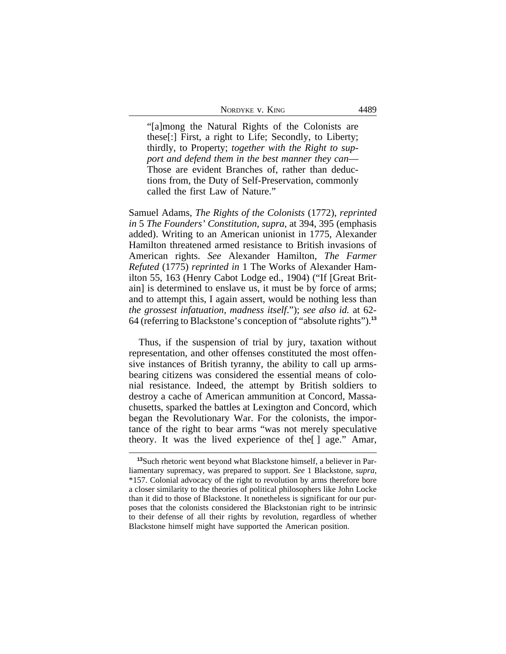| NORDYKE V. KING | 4489 |
|-----------------|------|
|-----------------|------|

"[a]mong the Natural Rights of the Colonists are these[:] First, a right to Life; Secondly, to Liberty; thirdly, to Property; *together with the Right to support and defend them in the best manner they can*— Those are evident Branches of, rather than deductions from, the Duty of Self-Preservation, commonly called the first Law of Nature."

Samuel Adams, *The Rights of the Colonists* (1772), *reprinted in* 5 *The Founders' Constitution*, *supra*, at 394, 395 (emphasis added). Writing to an American unionist in 1775, Alexander Hamilton threatened armed resistance to British invasions of American rights. *See* Alexander Hamilton, *The Farmer Refuted* (1775) *reprinted in* 1 The Works of Alexander Hamilton 55, 163 (Henry Cabot Lodge ed., 1904) ("If [Great Britain] is determined to enslave us, it must be by force of arms; and to attempt this, I again assert, would be nothing less than *the grossest infatuation, madness itself*."); *see also id.* at 62- 64 (referring to Blackstone's conception of "absolute rights").**<sup>13</sup>**

Thus, if the suspension of trial by jury, taxation without representation, and other offenses constituted the most offensive instances of British tyranny, the ability to call up armsbearing citizens was considered the essential means of colonial resistance. Indeed, the attempt by British soldiers to destroy a cache of American ammunition at Concord, Massachusetts, sparked the battles at Lexington and Concord, which began the Revolutionary War. For the colonists, the importance of the right to bear arms "was not merely speculative theory. It was the lived experience of the[ ] age." Amar,

**<sup>13</sup>**Such rhetoric went beyond what Blackstone himself, a believer in Parliamentary supremacy, was prepared to support. *See* 1 Blackstone, *supra*, \*157. Colonial advocacy of the right to revolution by arms therefore bore a closer similarity to the theories of political philosophers like John Locke than it did to those of Blackstone. It nonetheless is significant for our purposes that the colonists considered the Blackstonian right to be intrinsic to their defense of all their rights by revolution, regardless of whether Blackstone himself might have supported the American position.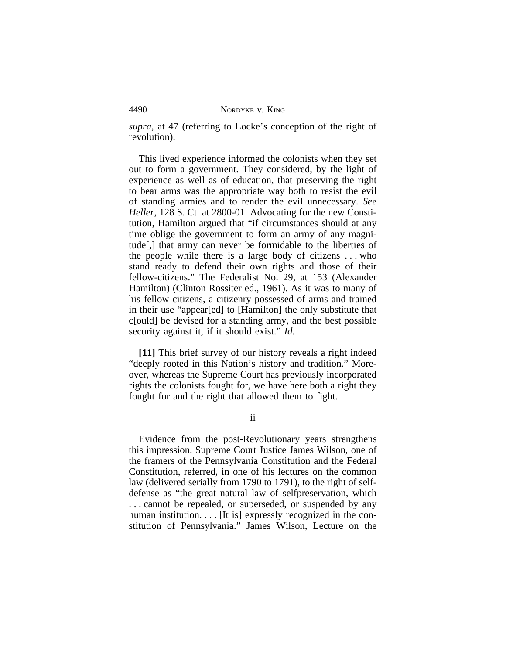| NORDYKE V. KING |  |  |
|-----------------|--|--|
|-----------------|--|--|

*supra*, at 47 (referring to Locke's conception of the right of revolution).

This lived experience informed the colonists when they set out to form a government. They considered, by the light of experience as well as of education, that preserving the right to bear arms was the appropriate way both to resist the evil of standing armies and to render the evil unnecessary. *See Heller*, 128 S. Ct. at 2800-01. Advocating for the new Constitution, Hamilton argued that "if circumstances should at any time oblige the government to form an army of any magnitude[,] that army can never be formidable to the liberties of the people while there is a large body of citizens . . . who stand ready to defend their own rights and those of their fellow-citizens." The Federalist No. 29, at 153 (Alexander Hamilton) (Clinton Rossiter ed., 1961). As it was to many of his fellow citizens, a citizenry possessed of arms and trained in their use "appear[ed] to [Hamilton] the only substitute that c[ould] be devised for a standing army, and the best possible security against it, if it should exist." *Id.*

**[11]** This brief survey of our history reveals a right indeed "deeply rooted in this Nation's history and tradition." Moreover, whereas the Supreme Court has previously incorporated rights the colonists fought for, we have here both a right they fought for and the right that allowed them to fight.

ii

Evidence from the post-Revolutionary years strengthens this impression. Supreme Court Justice James Wilson, one of the framers of the Pennsylvania Constitution and the Federal Constitution, referred, in one of his lectures on the common law (delivered serially from 1790 to 1791), to the right of selfdefense as "the great natural law of selfpreservation, which . . . cannot be repealed, or superseded, or suspended by any human institution.... [It is] expressly recognized in the constitution of Pennsylvania." James Wilson, Lecture on the

4490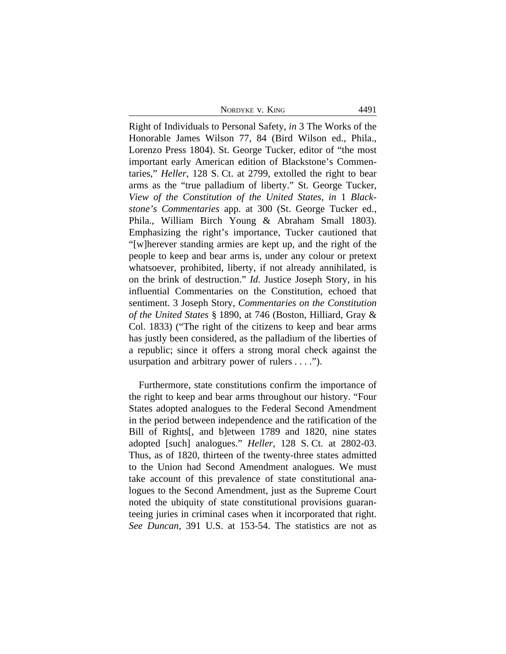NORDYKE V. KING 4491

Right of Individuals to Personal Safety, *in* 3 The Works of the Honorable James Wilson 77, 84 (Bird Wilson ed., Phila., Lorenzo Press 1804). St. George Tucker, editor of "the most important early American edition of Blackstone's Commentaries," *Heller*, 128 S. Ct. at 2799, extolled the right to bear arms as the "true palladium of liberty." St. George Tucker, *View of the Constitution of the United States*, *in* 1 *Blackstone's Commentaries* app. at 300 (St. George Tucker ed., Phila., William Birch Young & Abraham Small 1803). Emphasizing the right's importance, Tucker cautioned that "[w]herever standing armies are kept up, and the right of the people to keep and bear arms is, under any colour or pretext whatsoever, prohibited, liberty, if not already annihilated, is on the brink of destruction." *Id.* Justice Joseph Story, in his influential Commentaries on the Constitution, echoed that sentiment. 3 Joseph Story, *Commentaries on the Constitution of the United States* § 1890, at 746 (Boston, Hilliard, Gray & Col. 1833) ("The right of the citizens to keep and bear arms has justly been considered, as the palladium of the liberties of a republic; since it offers a strong moral check against the usurpation and arbitrary power of rulers . . . .").

Furthermore, state constitutions confirm the importance of the right to keep and bear arms throughout our history. "Four States adopted analogues to the Federal Second Amendment in the period between independence and the ratification of the Bill of Rights[, and b]etween 1789 and 1820, nine states adopted [such] analogues." *Heller*, 128 S. Ct. at 2802-03. Thus, as of 1820, thirteen of the twenty-three states admitted to the Union had Second Amendment analogues. We must take account of this prevalence of state constitutional analogues to the Second Amendment, just as the Supreme Court noted the ubiquity of state constitutional provisions guaranteeing juries in criminal cases when it incorporated that right. *See Duncan*, 391 U.S. at 153-54. The statistics are not as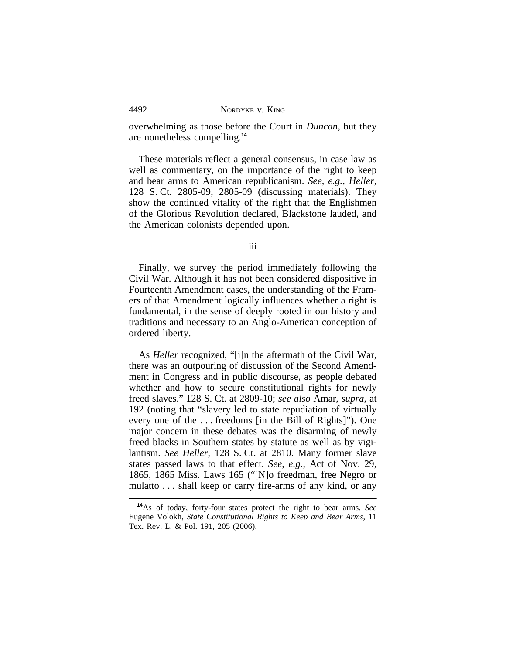overwhelming as those before the Court in *Duncan*, but they are nonetheless compelling.**<sup>14</sup>**

These materials reflect a general consensus, in case law as well as commentary, on the importance of the right to keep and bear arms to American republicanism. *See, e.g.*, *Heller*, 128 S. Ct. 2805-09, 2805-09 (discussing materials). They show the continued vitality of the right that the Englishmen of the Glorious Revolution declared, Blackstone lauded, and the American colonists depended upon.

iii

Finally, we survey the period immediately following the Civil War. Although it has not been considered dispositive in Fourteenth Amendment cases, the understanding of the Framers of that Amendment logically influences whether a right is fundamental, in the sense of deeply rooted in our history and traditions and necessary to an Anglo-American conception of ordered liberty.

As *Heller* recognized, "[i]n the aftermath of the Civil War, there was an outpouring of discussion of the Second Amendment in Congress and in public discourse, as people debated whether and how to secure constitutional rights for newly freed slaves." 128 S. Ct. at 2809-10; *see also* Amar, *supra*, at 192 (noting that "slavery led to state repudiation of virtually every one of the . . . freedoms [in the Bill of Rights]"). One major concern in these debates was the disarming of newly freed blacks in Southern states by statute as well as by vigilantism. *See Heller*, 128 S. Ct. at 2810. Many former slave states passed laws to that effect. *See, e.g.*, Act of Nov. 29, 1865, 1865 Miss. Laws 165 ("[N]o freedman, free Negro or mulatto . . . shall keep or carry fire-arms of any kind, or any

**<sup>14</sup>**As of today, forty-four states protect the right to bear arms. *See* Eugene Volokh, *State Constitutional Rights to Keep and Bear Arms*, 11 Tex. Rev. L. & Pol. 191, 205 (2006).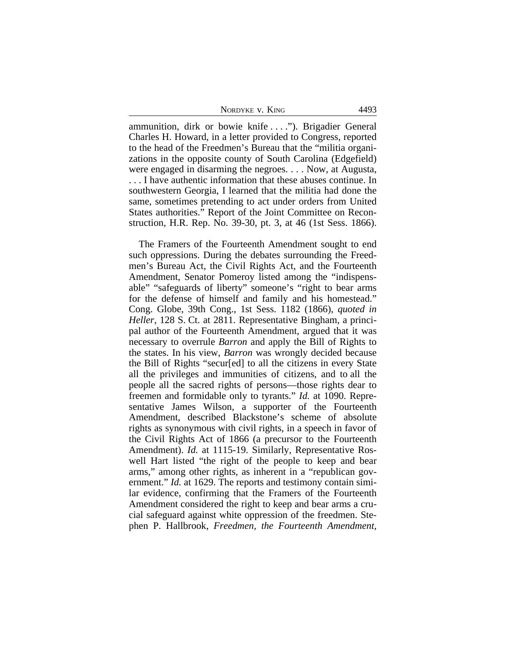NORDYKE V. KING 4493

ammunition, dirk or bowie knife . . . ."). Brigadier General Charles H. Howard, in a letter provided to Congress, reported to the head of the Freedmen's Bureau that the "militia organizations in the opposite county of South Carolina (Edgefield) were engaged in disarming the negroes. . . . Now, at Augusta, . . . I have authentic information that these abuses continue. In southwestern Georgia, I learned that the militia had done the same, sometimes pretending to act under orders from United States authorities." Report of the Joint Committee on Reconstruction, H.R. Rep. No. 39-30, pt. 3, at 46 (1st Sess. 1866).

The Framers of the Fourteenth Amendment sought to end such oppressions. During the debates surrounding the Freedmen's Bureau Act, the Civil Rights Act, and the Fourteenth Amendment, Senator Pomeroy listed among the "indispensable" "safeguards of liberty" someone's "right to bear arms for the defense of himself and family and his homestead." Cong. Globe, 39th Cong., 1st Sess. 1182 (1866), *quoted in Heller*, 128 S. Ct. at 2811. Representative Bingham, a principal author of the Fourteenth Amendment, argued that it was necessary to overrule *Barron* and apply the Bill of Rights to the states. In his view, *Barron* was wrongly decided because the Bill of Rights "secur[ed] to all the citizens in every State all the privileges and immunities of citizens, and to all the people all the sacred rights of persons—those rights dear to freemen and formidable only to tyrants." *Id.* at 1090. Representative James Wilson, a supporter of the Fourteenth Amendment, described Blackstone's scheme of absolute rights as synonymous with civil rights, in a speech in favor of the Civil Rights Act of 1866 (a precursor to the Fourteenth Amendment). *Id.* at 1115-19. Similarly, Representative Roswell Hart listed "the right of the people to keep and bear arms," among other rights, as inherent in a "republican government." *Id.* at 1629. The reports and testimony contain similar evidence, confirming that the Framers of the Fourteenth Amendment considered the right to keep and bear arms a crucial safeguard against white oppression of the freedmen. Stephen P. Hallbrook, *Freedmen, the Fourteenth Amendment,*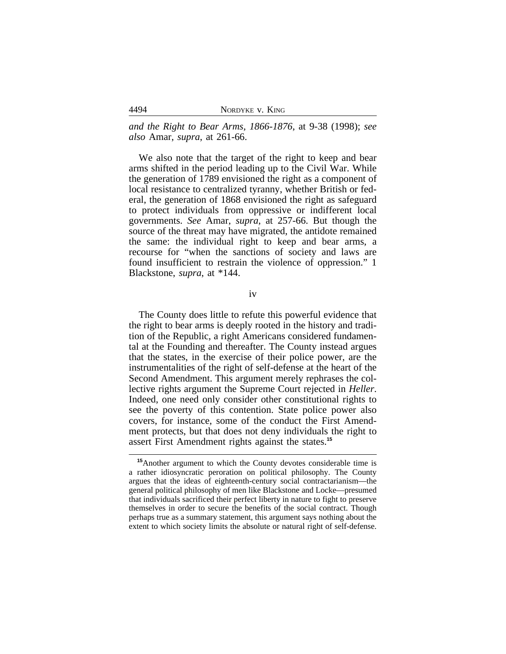| NORDYKE V. KING |  |  |
|-----------------|--|--|
|-----------------|--|--|

*and the Right to Bear Arms, 1866-1876*, at 9-38 (1998); *see also* Amar, *supra*, at 261-66.

We also note that the target of the right to keep and bear arms shifted in the period leading up to the Civil War. While the generation of 1789 envisioned the right as a component of local resistance to centralized tyranny, whether British or federal, the generation of 1868 envisioned the right as safeguard to protect individuals from oppressive or indifferent local governments. *See* Amar, *supra*, at 257-66. But though the source of the threat may have migrated, the antidote remained the same: the individual right to keep and bear arms, a recourse for "when the sanctions of society and laws are found insufficient to restrain the violence of oppression." 1 Blackstone, *supra*, at \*144.

iv

The County does little to refute this powerful evidence that the right to bear arms is deeply rooted in the history and tradition of the Republic, a right Americans considered fundamental at the Founding and thereafter. The County instead argues that the states, in the exercise of their police power, are the instrumentalities of the right of self-defense at the heart of the Second Amendment. This argument merely rephrases the collective rights argument the Supreme Court rejected in *Heller*. Indeed, one need only consider other constitutional rights to see the poverty of this contention. State police power also covers, for instance, some of the conduct the First Amendment protects, but that does not deny individuals the right to assert First Amendment rights against the states.**<sup>15</sup>**

4494

**<sup>15</sup>**Another argument to which the County devotes considerable time is a rather idiosyncratic peroration on political philosophy. The County argues that the ideas of eighteenth-century social contractarianism—the general political philosophy of men like Blackstone and Locke—presumed that individuals sacrificed their perfect liberty in nature to fight to preserve themselves in order to secure the benefits of the social contract. Though perhaps true as a summary statement, this argument says nothing about the extent to which society limits the absolute or natural right of self-defense.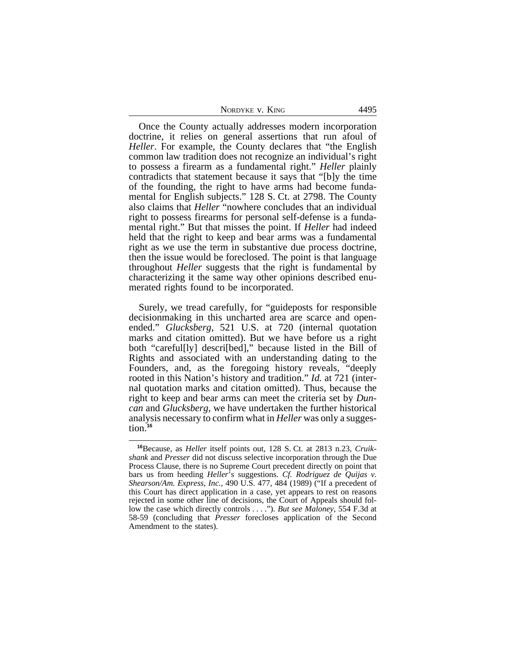| NORDYKE V. KING | 4495 |
|-----------------|------|
|-----------------|------|

Once the County actually addresses modern incorporation doctrine, it relies on general assertions that run afoul of *Heller*. For example, the County declares that "the English common law tradition does not recognize an individual's right to possess a firearm as a fundamental right." *Heller* plainly contradicts that statement because it says that "[b]y the time of the founding, the right to have arms had become fundamental for English subjects." 128 S. Ct. at 2798. The County also claims that *Heller* "nowhere concludes that an individual right to possess firearms for personal self-defense is a fundamental right." But that misses the point. If *Heller* had indeed held that the right to keep and bear arms was a fundamental right as we use the term in substantive due process doctrine, then the issue would be foreclosed. The point is that language throughout *Heller* suggests that the right is fundamental by characterizing it the same way other opinions described enumerated rights found to be incorporated.

Surely, we tread carefully, for "guideposts for responsible decisionmaking in this uncharted area are scarce and openended." *Glucksberg*, 521 U.S. at 720 (internal quotation marks and citation omitted). But we have before us a right both "careful[ly] descri[bed]," because listed in the Bill of Rights and associated with an understanding dating to the Founders, and, as the foregoing history reveals, "deeply rooted in this Nation's history and tradition." *Id.* at 721 (internal quotation marks and citation omitted). Thus, because the right to keep and bear arms can meet the criteria set by *Duncan* and *Glucksberg*, we have undertaken the further historical analysis necessary to confirm what in *Heller* was only a suggestion.**<sup>16</sup>**

**<sup>16</sup>**Because, as *Heller* itself points out, 128 S. Ct. at 2813 n.23, *Cruikshank* and *Presser* did not discuss selective incorporation through the Due Process Clause, there is no Supreme Court precedent directly on point that bars us from heeding *Heller*'s suggestions. *Cf. Rodriguez de Quijas v. Shearson/Am. Express, Inc.*, 490 U.S. 477, 484 (1989) ("If a precedent of this Court has direct application in a case, yet appears to rest on reasons rejected in some other line of decisions, the Court of Appeals should follow the case which directly controls . . . ."). *But see Maloney*, 554 F.3d at 58-59 (concluding that *Presser* forecloses application of the Second Amendment to the states).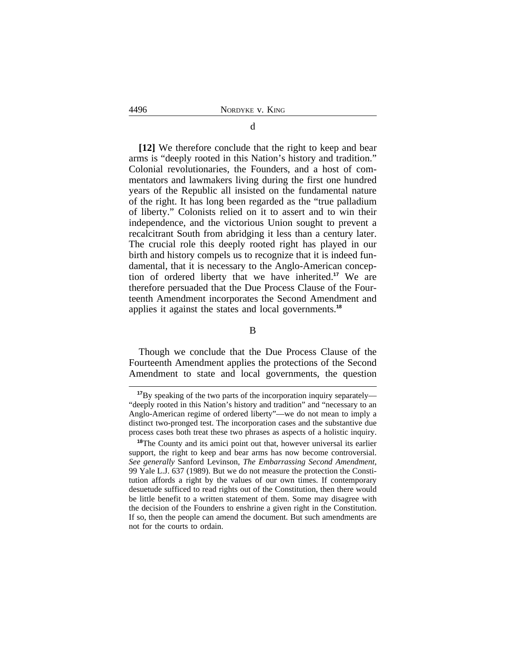**[12]** We therefore conclude that the right to keep and bear arms is "deeply rooted in this Nation's history and tradition." Colonial revolutionaries, the Founders, and a host of commentators and lawmakers living during the first one hundred years of the Republic all insisted on the fundamental nature of the right. It has long been regarded as the "true palladium of liberty." Colonists relied on it to assert and to win their independence, and the victorious Union sought to prevent a recalcitrant South from abridging it less than a century later. The crucial role this deeply rooted right has played in our birth and history compels us to recognize that it is indeed fundamental, that it is necessary to the Anglo-American conception of ordered liberty that we have inherited.**<sup>17</sup>** We are therefore persuaded that the Due Process Clause of the Fourteenth Amendment incorporates the Second Amendment and applies it against the states and local governments.**<sup>18</sup>**

B

Though we conclude that the Due Process Clause of the Fourteenth Amendment applies the protections of the Second Amendment to state and local governments, the question

**<sup>17</sup>**By speaking of the two parts of the incorporation inquiry separately— "deeply rooted in this Nation's history and tradition" and "necessary to an Anglo-American regime of ordered liberty"—we do not mean to imply a distinct two-pronged test. The incorporation cases and the substantive due process cases both treat these two phrases as aspects of a holistic inquiry.

**<sup>18</sup>**The County and its amici point out that, however universal its earlier support, the right to keep and bear arms has now become controversial. *See generally* Sanford Levinson, *The Embarrassing Second Amendment*, 99 Yale L.J. 637 (1989). But we do not measure the protection the Constitution affords a right by the values of our own times. If contemporary desuetude sufficed to read rights out of the Constitution, then there would be little benefit to a written statement of them. Some may disagree with the decision of the Founders to enshrine a given right in the Constitution. If so, then the people can amend the document. But such amendments are not for the courts to ordain.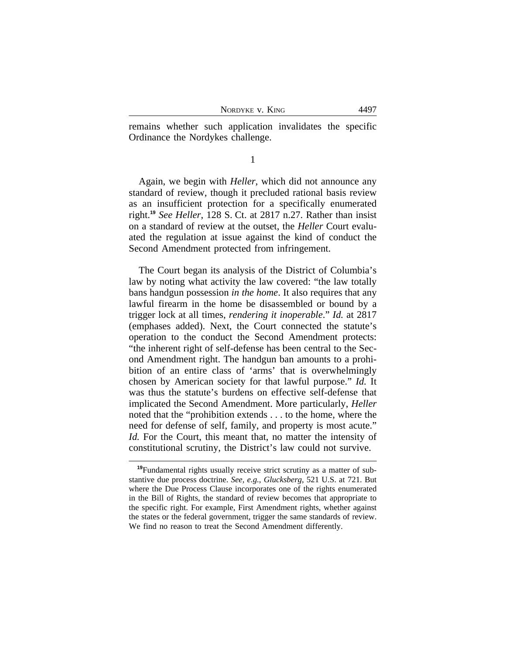NORDYKE V. KING 4497

remains whether such application invalidates the specific Ordinance the Nordykes challenge.

1

Again, we begin with *Heller*, which did not announce any standard of review, though it precluded rational basis review as an insufficient protection for a specifically enumerated right.**<sup>19</sup>** *See Heller*, 128 S. Ct. at 2817 n.27. Rather than insist on a standard of review at the outset, the *Heller* Court evaluated the regulation at issue against the kind of conduct the Second Amendment protected from infringement.

The Court began its analysis of the District of Columbia's law by noting what activity the law covered: "the law totally bans handgun possession *in the home*. It also requires that any lawful firearm in the home be disassembled or bound by a trigger lock at all times, *rendering it inoperable*." *Id.* at 2817 (emphases added). Next, the Court connected the statute's operation to the conduct the Second Amendment protects: "the inherent right of self-defense has been central to the Second Amendment right. The handgun ban amounts to a prohibition of an entire class of 'arms' that is overwhelmingly chosen by American society for that lawful purpose." *Id.* It was thus the statute's burdens on effective self-defense that implicated the Second Amendment. More particularly, *Heller* noted that the "prohibition extends . . . to the home, where the need for defense of self, family, and property is most acute." *Id.* For the Court, this meant that, no matter the intensity of constitutional scrutiny, the District's law could not survive.

**<sup>19</sup>**Fundamental rights usually receive strict scrutiny as a matter of substantive due process doctrine. *See, e.g.*, *Glucksberg*, 521 U.S. at 721. But where the Due Process Clause incorporates one of the rights enumerated in the Bill of Rights, the standard of review becomes that appropriate to the specific right. For example, First Amendment rights, whether against the states or the federal government, trigger the same standards of review. We find no reason to treat the Second Amendment differently.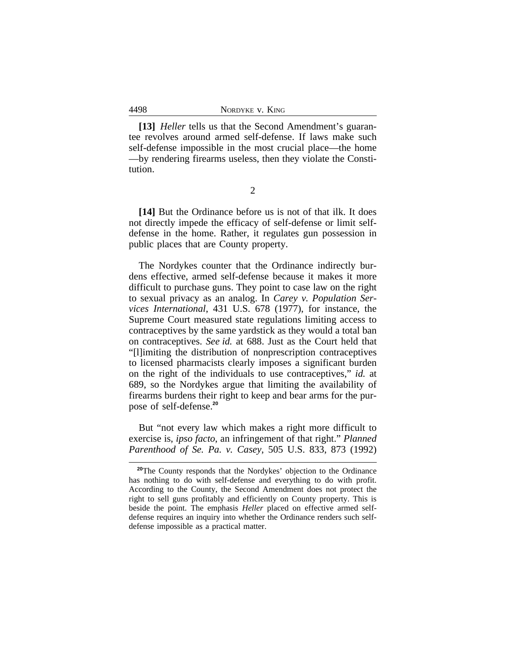**[13]** *Heller* tells us that the Second Amendment's guarantee revolves around armed self-defense. If laws make such self-defense impossible in the most crucial place—the home —by rendering firearms useless, then they violate the Constitution.

2

**[14]** But the Ordinance before us is not of that ilk. It does not directly impede the efficacy of self-defense or limit selfdefense in the home. Rather, it regulates gun possession in public places that are County property.

The Nordykes counter that the Ordinance indirectly burdens effective, armed self-defense because it makes it more difficult to purchase guns. They point to case law on the right to sexual privacy as an analog. In *Carey v. Population Services International*, 431 U.S. 678 (1977), for instance, the Supreme Court measured state regulations limiting access to contraceptives by the same yardstick as they would a total ban on contraceptives. *See id.* at 688. Just as the Court held that "[l]imiting the distribution of nonprescription contraceptives to licensed pharmacists clearly imposes a significant burden on the right of the individuals to use contraceptives," *id.* at 689, so the Nordykes argue that limiting the availability of firearms burdens their right to keep and bear arms for the purpose of self-defense.**<sup>20</sup>**

But "not every law which makes a right more difficult to exercise is, *ipso facto*, an infringement of that right." *Planned Parenthood of Se. Pa. v. Casey*, 505 U.S. 833, 873 (1992)

<sup>&</sup>lt;sup>20</sup>The County responds that the Nordykes' objection to the Ordinance has nothing to do with self-defense and everything to do with profit. According to the County, the Second Amendment does not protect the right to sell guns profitably and efficiently on County property. This is beside the point. The emphasis *Heller* placed on effective armed selfdefense requires an inquiry into whether the Ordinance renders such selfdefense impossible as a practical matter.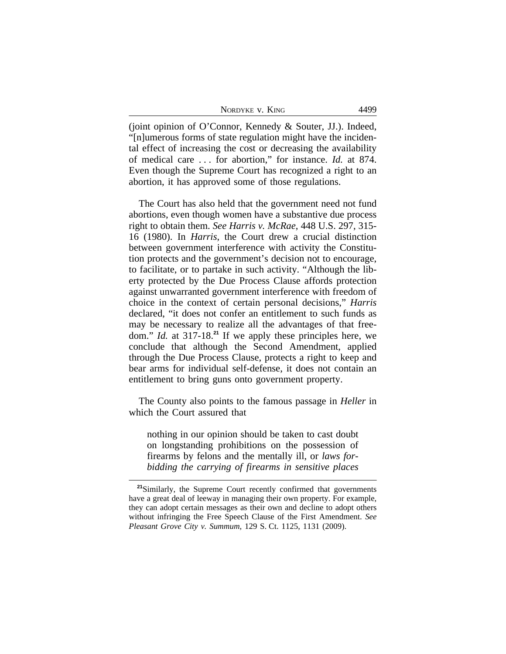| NORDYKE V. KING | 4499 |
|-----------------|------|
|-----------------|------|

(joint opinion of O'Connor, Kennedy & Souter, JJ.). Indeed, "[n]umerous forms of state regulation might have the incidental effect of increasing the cost or decreasing the availability of medical care . . . for abortion," for instance. *Id.* at 874. Even though the Supreme Court has recognized a right to an abortion, it has approved some of those regulations.

The Court has also held that the government need not fund abortions, even though women have a substantive due process right to obtain them. *See Harris v. McRae*, 448 U.S. 297, 315- 16 (1980). In *Harris*, the Court drew a crucial distinction between government interference with activity the Constitution protects and the government's decision not to encourage, to facilitate, or to partake in such activity. "Although the liberty protected by the Due Process Clause affords protection against unwarranted government interference with freedom of choice in the context of certain personal decisions," *Harris* declared, "it does not confer an entitlement to such funds as may be necessary to realize all the advantages of that freedom." *Id.* at 317-18.**<sup>21</sup>** If we apply these principles here, we conclude that although the Second Amendment, applied through the Due Process Clause, protects a right to keep and bear arms for individual self-defense, it does not contain an entitlement to bring guns onto government property.

The County also points to the famous passage in *Heller* in which the Court assured that

nothing in our opinion should be taken to cast doubt on longstanding prohibitions on the possession of firearms by felons and the mentally ill, or *laws forbidding the carrying of firearms in sensitive places*

**<sup>21</sup>**Similarly, the Supreme Court recently confirmed that governments have a great deal of leeway in managing their own property. For example, they can adopt certain messages as their own and decline to adopt others without infringing the Free Speech Clause of the First Amendment. *See Pleasant Grove City v. Summum*, 129 S. Ct. 1125, 1131 (2009).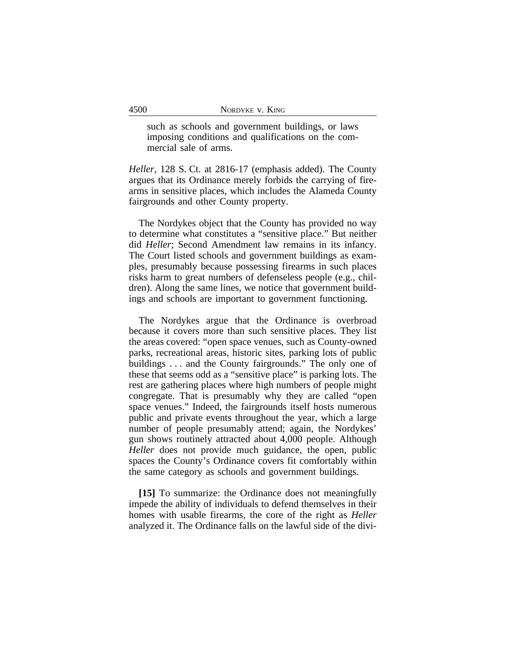such as schools and government buildings, or laws imposing conditions and qualifications on the commercial sale of arms.

*Heller*, 128 S. Ct. at 2816-17 (emphasis added). The County argues that its Ordinance merely forbids the carrying of firearms in sensitive places, which includes the Alameda County fairgrounds and other County property.

The Nordykes object that the County has provided no way to determine what constitutes a "sensitive place." But neither did *Heller*; Second Amendment law remains in its infancy. The Court listed schools and government buildings as examples, presumably because possessing firearms in such places risks harm to great numbers of defenseless people (e.g., children). Along the same lines, we notice that government buildings and schools are important to government functioning.

The Nordykes argue that the Ordinance is overbroad because it covers more than such sensitive places. They list the areas covered: "open space venues, such as County-owned parks, recreational areas, historic sites, parking lots of public buildings . . . and the County fairgrounds." The only one of these that seems odd as a "sensitive place" is parking lots. The rest are gathering places where high numbers of people might congregate. That is presumably why they are called "open space venues." Indeed, the fairgrounds itself hosts numerous public and private events throughout the year, which a large number of people presumably attend; again, the Nordykes' gun shows routinely attracted about 4,000 people. Although *Heller* does not provide much guidance, the open, public spaces the County's Ordinance covers fit comfortably within the same category as schools and government buildings.

**[15]** To summarize: the Ordinance does not meaningfully impede the ability of individuals to defend themselves in their homes with usable firearms, the core of the right as *Heller* analyzed it. The Ordinance falls on the lawful side of the divi-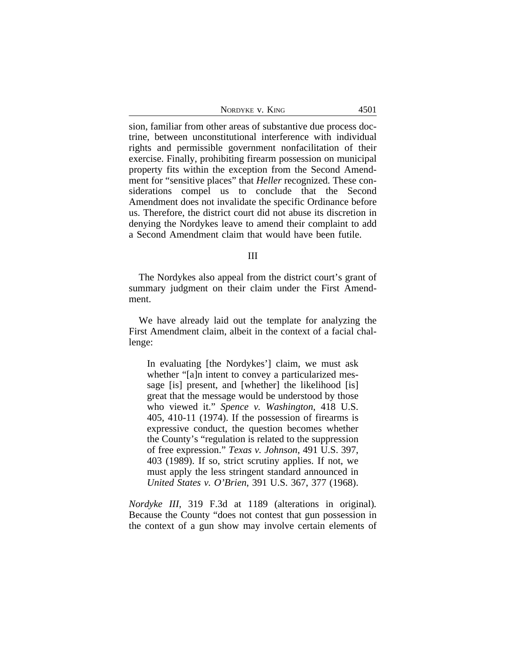sion, familiar from other areas of substantive due process doctrine, between unconstitutional interference with individual rights and permissible government nonfacilitation of their exercise. Finally, prohibiting firearm possession on municipal property fits within the exception from the Second Amendment for "sensitive places" that *Heller* recognized. These considerations compel us to conclude that the Second Amendment does not invalidate the specific Ordinance before us. Therefore, the district court did not abuse its discretion in denying the Nordykes leave to amend their complaint to add a Second Amendment claim that would have been futile.

### III

The Nordykes also appeal from the district court's grant of summary judgment on their claim under the First Amendment.

We have already laid out the template for analyzing the First Amendment claim, albeit in the context of a facial challenge:

In evaluating [the Nordykes'] claim, we must ask whether "[a]n intent to convey a particularized message [is] present, and [whether] the likelihood [is] great that the message would be understood by those who viewed it." *Spence v. Washington*, 418 U.S. 405, 410-11 (1974). If the possession of firearms is expressive conduct, the question becomes whether the County's "regulation is related to the suppression of free expression." *Texas v. Johnson*, 491 U.S. 397, 403 (1989). If so, strict scrutiny applies. If not, we must apply the less stringent standard announced in *United States v. O'Brien*, 391 U.S. 367, 377 (1968).

*Nordyke III*, 319 F.3d at 1189 (alterations in original)*.* Because the County "does not contest that gun possession in the context of a gun show may involve certain elements of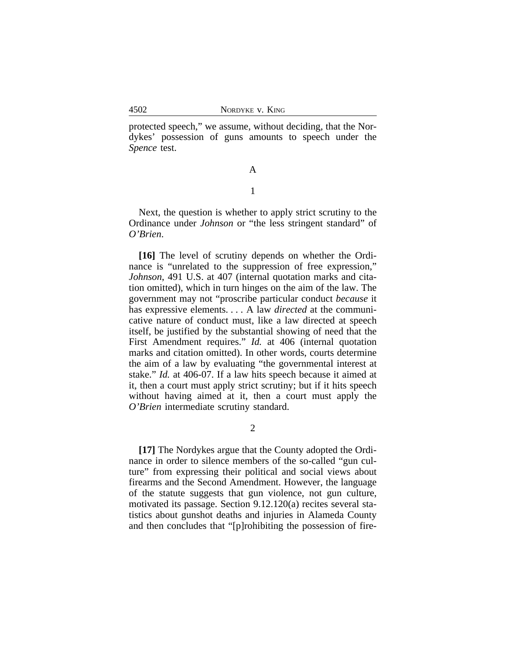protected speech," we assume, without deciding, that the Nordykes' possession of guns amounts to speech under the *Spence* test.

# A

## 1

Next, the question is whether to apply strict scrutiny to the Ordinance under *Johnson* or "the less stringent standard" of *O'Brien*.

**[16]** The level of scrutiny depends on whether the Ordinance is "unrelated to the suppression of free expression," *Johnson*, 491 U.S. at 407 (internal quotation marks and citation omitted), which in turn hinges on the aim of the law. The government may not "proscribe particular conduct *because* it has expressive elements. . . . A law *directed* at the communicative nature of conduct must, like a law directed at speech itself, be justified by the substantial showing of need that the First Amendment requires." *Id.* at 406 (internal quotation marks and citation omitted). In other words, courts determine the aim of a law by evaluating "the governmental interest at stake." *Id.* at 406-07. If a law hits speech because it aimed at it, then a court must apply strict scrutiny; but if it hits speech without having aimed at it, then a court must apply the *O'Brien* intermediate scrutiny standard.

2

**[17]** The Nordykes argue that the County adopted the Ordinance in order to silence members of the so-called "gun culture" from expressing their political and social views about firearms and the Second Amendment. However, the language of the statute suggests that gun violence, not gun culture, motivated its passage. Section 9.12.120(a) recites several statistics about gunshot deaths and injuries in Alameda County and then concludes that "[p]rohibiting the possession of fire-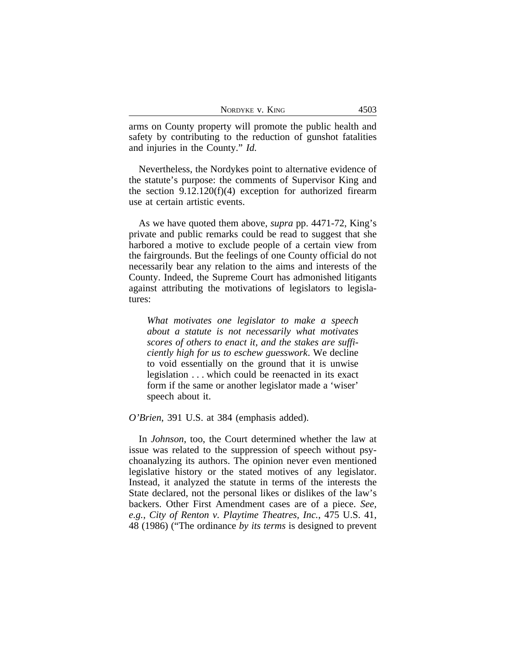| NORDYKE V. KING | $450^{\circ}$ |
|-----------------|---------------|
|-----------------|---------------|

arms on County property will promote the public health and safety by contributing to the reduction of gunshot fatalities and injuries in the County." *Id.* 

Nevertheless, the Nordykes point to alternative evidence of the statute's purpose: the comments of Supervisor King and the section 9.12.120(f)(4) exception for authorized firearm use at certain artistic events.

As we have quoted them above, *supra* pp. 4471-72, King's private and public remarks could be read to suggest that she harbored a motive to exclude people of a certain view from the fairgrounds. But the feelings of one County official do not necessarily bear any relation to the aims and interests of the County. Indeed, the Supreme Court has admonished litigants against attributing the motivations of legislators to legislatures:

*What motivates one legislator to make a speech about a statute is not necessarily what motivates scores of others to enact it, and the stakes are sufficiently high for us to eschew guesswork*. We decline to void essentially on the ground that it is unwise legislation . . . which could be reenacted in its exact form if the same or another legislator made a 'wiser' speech about it.

*O'Brien*, 391 U.S. at 384 (emphasis added).

In *Johnson*, too, the Court determined whether the law at issue was related to the suppression of speech without psychoanalyzing its authors. The opinion never even mentioned legislative history or the stated motives of any legislator. Instead, it analyzed the statute in terms of the interests the State declared, not the personal likes or dislikes of the law's backers. Other First Amendment cases are of a piece. *See, e.g.*, *City of Renton v. Playtime Theatres, Inc.*, 475 U.S. 41, 48 (1986) ("The ordinance *by its terms* is designed to prevent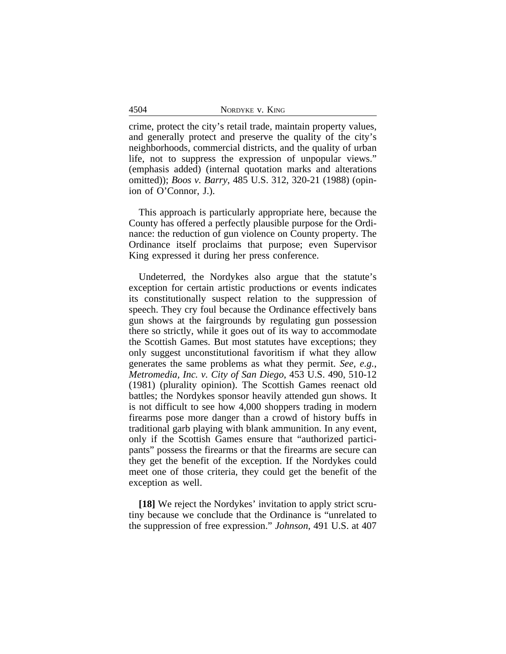| NORDYKE V. KING |  |
|-----------------|--|
|-----------------|--|

crime, protect the city's retail trade, maintain property values, and generally protect and preserve the quality of the city's neighborhoods, commercial districts, and the quality of urban life, not to suppress the expression of unpopular views." (emphasis added) (internal quotation marks and alterations omitted)); *Boos v. Barry*, 485 U.S. 312, 320-21 (1988) (opinion of O'Connor, J.).

This approach is particularly appropriate here, because the County has offered a perfectly plausible purpose for the Ordinance: the reduction of gun violence on County property. The Ordinance itself proclaims that purpose; even Supervisor King expressed it during her press conference.

Undeterred, the Nordykes also argue that the statute's exception for certain artistic productions or events indicates its constitutionally suspect relation to the suppression of speech. They cry foul because the Ordinance effectively bans gun shows at the fairgrounds by regulating gun possession there so strictly, while it goes out of its way to accommodate the Scottish Games. But most statutes have exceptions; they only suggest unconstitutional favoritism if what they allow generates the same problems as what they permit. *See, e.g.*, *Metromedia, Inc. v. City of San Diego*, 453 U.S. 490, 510-12 (1981) (plurality opinion). The Scottish Games reenact old battles; the Nordykes sponsor heavily attended gun shows. It is not difficult to see how 4,000 shoppers trading in modern firearms pose more danger than a crowd of history buffs in traditional garb playing with blank ammunition. In any event, only if the Scottish Games ensure that "authorized participants" possess the firearms or that the firearms are secure can they get the benefit of the exception. If the Nordykes could meet one of those criteria, they could get the benefit of the exception as well.

**[18]** We reject the Nordykes' invitation to apply strict scrutiny because we conclude that the Ordinance is "unrelated to the suppression of free expression." *Johnson*, 491 U.S. at 407

4504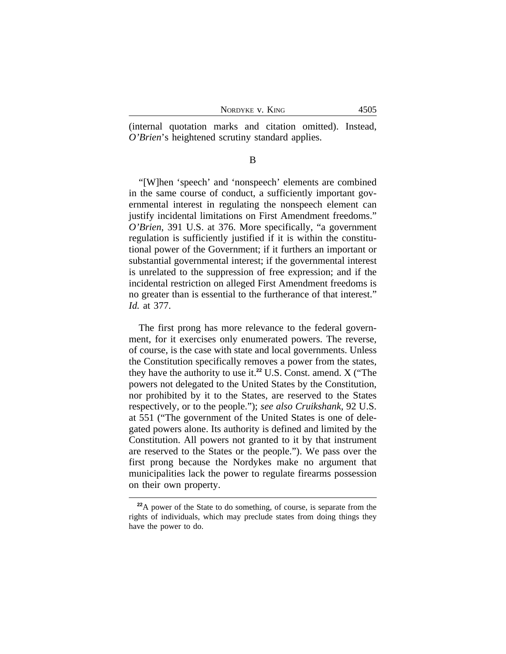| NORDYKE V. KING |
|-----------------|
|-----------------|

(internal quotation marks and citation omitted). Instead, *O'Brien*'s heightened scrutiny standard applies.

B

"[W]hen 'speech' and 'nonspeech' elements are combined in the same course of conduct, a sufficiently important governmental interest in regulating the nonspeech element can justify incidental limitations on First Amendment freedoms." *O'Brien*, 391 U.S. at 376. More specifically, "a government regulation is sufficiently justified if it is within the constitutional power of the Government; if it furthers an important or substantial governmental interest; if the governmental interest is unrelated to the suppression of free expression; and if the incidental restriction on alleged First Amendment freedoms is no greater than is essential to the furtherance of that interest." *Id.* at 377.

The first prong has more relevance to the federal government, for it exercises only enumerated powers. The reverse, of course, is the case with state and local governments. Unless the Constitution specifically removes a power from the states, they have the authority to use it.**<sup>22</sup>** U.S. Const. amend. X ("The powers not delegated to the United States by the Constitution, nor prohibited by it to the States, are reserved to the States respectively, or to the people."); *see also Cruikshank*, 92 U.S. at 551 ("The government of the United States is one of delegated powers alone. Its authority is defined and limited by the Constitution. All powers not granted to it by that instrument are reserved to the States or the people."). We pass over the first prong because the Nordykes make no argument that municipalities lack the power to regulate firearms possession on their own property.

**<sup>22</sup>**A power of the State to do something, of course, is separate from the rights of individuals, which may preclude states from doing things they have the power to do.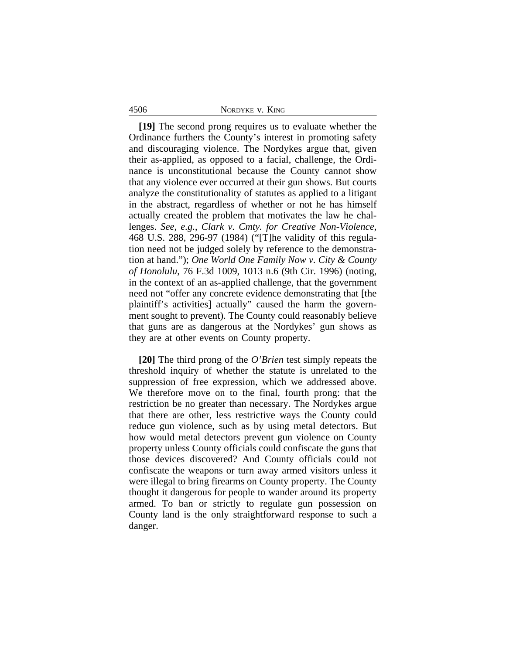### 4506 NORDYKE v. KING

**[19]** The second prong requires us to evaluate whether the Ordinance furthers the County's interest in promoting safety and discouraging violence. The Nordykes argue that, given their as-applied, as opposed to a facial, challenge, the Ordinance is unconstitutional because the County cannot show that any violence ever occurred at their gun shows. But courts analyze the constitutionality of statutes as applied to a litigant in the abstract, regardless of whether or not he has himself actually created the problem that motivates the law he challenges. *See, e.g.*, *Clark v. Cmty. for Creative Non-Violence*, 468 U.S. 288, 296-97 (1984) ("[T]he validity of this regulation need not be judged solely by reference to the demonstration at hand."); *One World One Family Now v. City & County of Honolulu*, 76 F.3d 1009, 1013 n.6 (9th Cir. 1996) (noting, in the context of an as-applied challenge, that the government need not "offer any concrete evidence demonstrating that [the plaintiff's activities] actually" caused the harm the government sought to prevent). The County could reasonably believe that guns are as dangerous at the Nordykes' gun shows as they are at other events on County property.

**[20]** The third prong of the *O'Brien* test simply repeats the threshold inquiry of whether the statute is unrelated to the suppression of free expression, which we addressed above. We therefore move on to the final, fourth prong: that the restriction be no greater than necessary. The Nordykes argue that there are other, less restrictive ways the County could reduce gun violence, such as by using metal detectors. But how would metal detectors prevent gun violence on County property unless County officials could confiscate the guns that those devices discovered? And County officials could not confiscate the weapons or turn away armed visitors unless it were illegal to bring firearms on County property. The County thought it dangerous for people to wander around its property armed. To ban or strictly to regulate gun possession on County land is the only straightforward response to such a danger.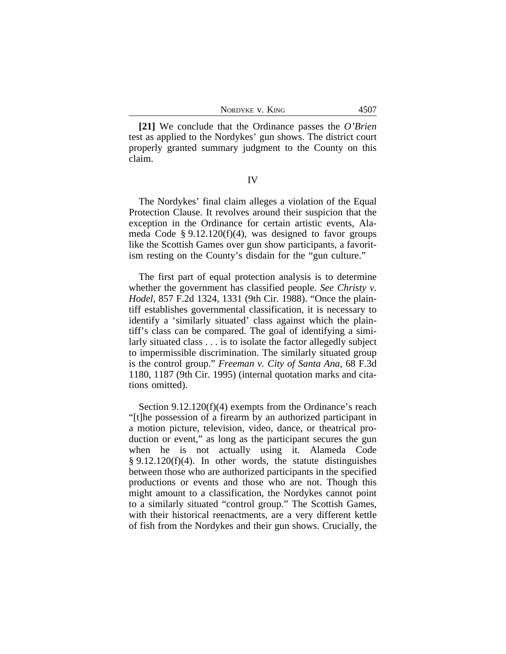NORDYKE V. KING 4507

**[21]** We conclude that the Ordinance passes the *O'Brien* test as applied to the Nordykes' gun shows. The district court properly granted summary judgment to the County on this claim.

## IV

The Nordykes' final claim alleges a violation of the Equal Protection Clause. It revolves around their suspicion that the exception in the Ordinance for certain artistic events, Alameda Code  $\S 9.12.120(f)(4)$ , was designed to favor groups like the Scottish Games over gun show participants, a favoritism resting on the County's disdain for the "gun culture."

The first part of equal protection analysis is to determine whether the government has classified people. *See Christy v. Hodel*, 857 F.2d 1324, 1331 (9th Cir. 1988). "Once the plaintiff establishes governmental classification, it is necessary to identify a 'similarly situated' class against which the plaintiff's class can be compared. The goal of identifying a similarly situated class . . . is to isolate the factor allegedly subject to impermissible discrimination. The similarly situated group is the control group." *Freeman v. City of Santa Ana*, 68 F.3d 1180, 1187 (9th Cir. 1995) (internal quotation marks and citations omitted).

Section 9.12.120(f)(4) exempts from the Ordinance's reach "[t]he possession of a firearm by an authorized participant in a motion picture, television, video, dance, or theatrical production or event," as long as the participant secures the gun when he is not actually using it. Alameda Code  $§ 9.12.120(f)(4)$ . In other words, the statute distinguishes between those who are authorized participants in the specified productions or events and those who are not. Though this might amount to a classification, the Nordykes cannot point to a similarly situated "control group." The Scottish Games, with their historical reenactments, are a very different kettle of fish from the Nordykes and their gun shows. Crucially, the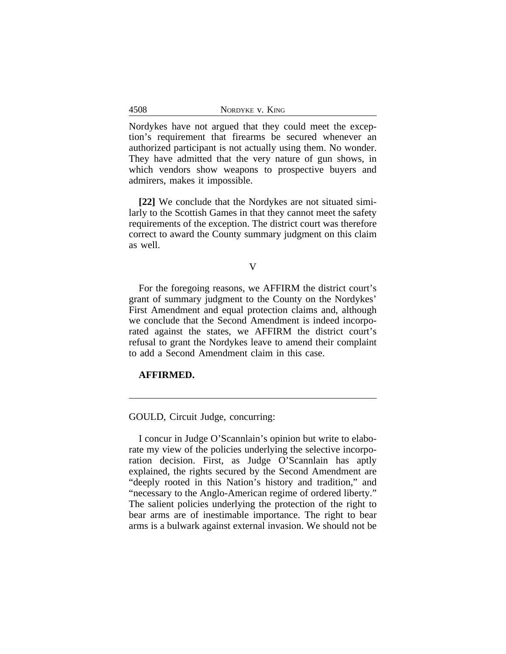Nordykes have not argued that they could meet the exception's requirement that firearms be secured whenever an authorized participant is not actually using them. No wonder. They have admitted that the very nature of gun shows, in which vendors show weapons to prospective buyers and admirers, makes it impossible.

**[22]** We conclude that the Nordykes are not situated similarly to the Scottish Games in that they cannot meet the safety requirements of the exception. The district court was therefore correct to award the County summary judgment on this claim as well.

#### V

For the foregoing reasons, we AFFIRM the district court's grant of summary judgment to the County on the Nordykes' First Amendment and equal protection claims and, although we conclude that the Second Amendment is indeed incorporated against the states, we AFFIRM the district court's refusal to grant the Nordykes leave to amend their complaint to add a Second Amendment claim in this case.

## **AFFIRMED.**

4508

GOULD, Circuit Judge, concurring:

I concur in Judge O'Scannlain's opinion but write to elaborate my view of the policies underlying the selective incorporation decision. First, as Judge O'Scannlain has aptly explained, the rights secured by the Second Amendment are "deeply rooted in this Nation's history and tradition," and "necessary to the Anglo-American regime of ordered liberty." The salient policies underlying the protection of the right to bear arms are of inestimable importance. The right to bear arms is a bulwark against external invasion. We should not be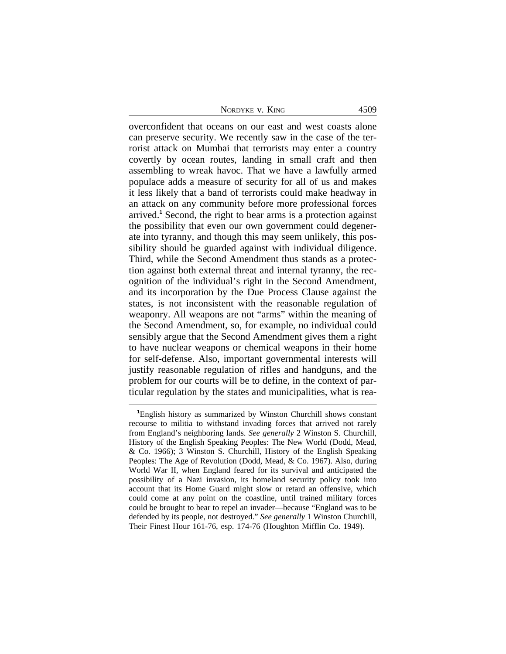NORDYKE V. KING 4509

overconfident that oceans on our east and west coasts alone can preserve security. We recently saw in the case of the terrorist attack on Mumbai that terrorists may enter a country covertly by ocean routes, landing in small craft and then assembling to wreak havoc. That we have a lawfully armed populace adds a measure of security for all of us and makes it less likely that a band of terrorists could make headway in an attack on any community before more professional forces arrived.**<sup>1</sup>** Second, the right to bear arms is a protection against the possibility that even our own government could degenerate into tyranny, and though this may seem unlikely, this possibility should be guarded against with individual diligence. Third, while the Second Amendment thus stands as a protection against both external threat and internal tyranny, the recognition of the individual's right in the Second Amendment, and its incorporation by the Due Process Clause against the states, is not inconsistent with the reasonable regulation of weaponry. All weapons are not "arms" within the meaning of the Second Amendment, so, for example, no individual could sensibly argue that the Second Amendment gives them a right to have nuclear weapons or chemical weapons in their home for self-defense. Also, important governmental interests will justify reasonable regulation of rifles and handguns, and the problem for our courts will be to define, in the context of particular regulation by the states and municipalities, what is rea-

**<sup>1</sup>**English history as summarized by Winston Churchill shows constant recourse to militia to withstand invading forces that arrived not rarely from England's neighboring lands. *See generally* 2 Winston S. Churchill, History of the English Speaking Peoples: The New World (Dodd, Mead, & Co. 1966); 3 Winston S. Churchill, History of the English Speaking Peoples: The Age of Revolution (Dodd, Mead, & Co. 1967). Also, during World War II, when England feared for its survival and anticipated the possibility of a Nazi invasion, its homeland security policy took into account that its Home Guard might slow or retard an offensive, which could come at any point on the coastline, until trained military forces could be brought to bear to repel an invader—because "England was to be defended by its people, not destroyed." *See generally* 1 Winston Churchill, Their Finest Hour 161-76, esp. 174-76 (Houghton Mifflin Co. 1949).